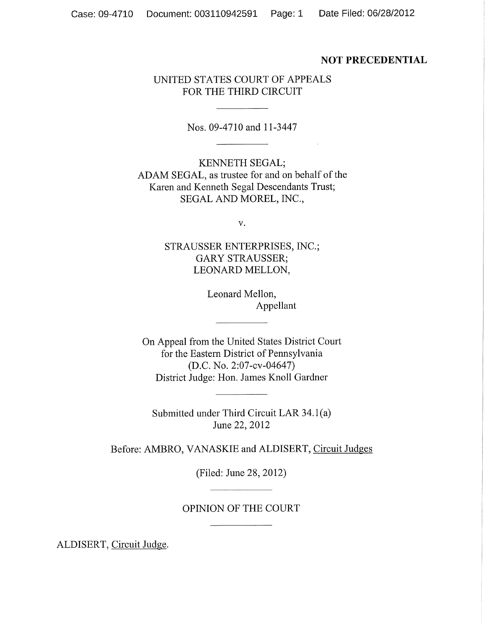## **NOT PRECEDENTIAL**

# UNITED STATES COURT OF APPEALS FOR THE THIRD CIRCUIT

Nos. 09-4710 and 11-3447

KENNETH SEGAL; ADAM SEGAL, as trustee for and on behalf of the Karen and Kenneth Segal Descendants Trust; SEGAL AND MOREL, INC.,

 $V_{\bullet}$ 

STRAUSSER ENTERPRISES, INC.; **GARY STRAUSSER;** LEONARD MELLON,

> Leonard Mellon, Appellant

On Appeal from the United States District Court for the Eastern District of Pennsylvania (D.C. No. 2:07-cv-04647) District Judge: Hon. James Knoll Gardner

Submitted under Third Circuit LAR 34.1(a) June 22, 2012

Before: AMBRO, VANASKIE and ALDISERT, Circuit Judges

(Filed: June 28, 2012)

# OPINION OF THE COURT

ALDISERT, Circuit Judge.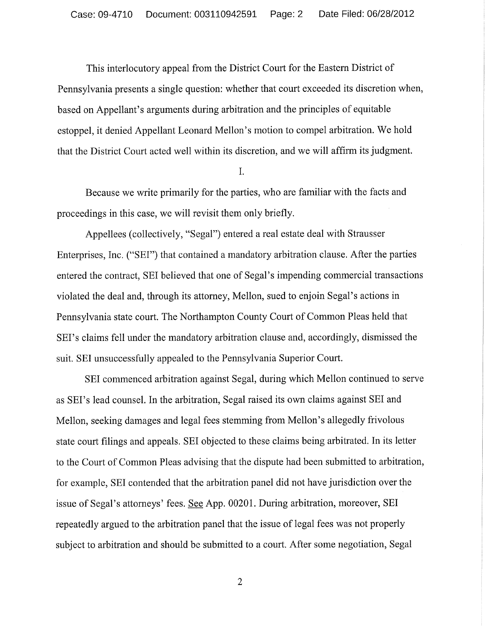This interlocutory appeal from the District Court for the Eastern District of Pennsylvania presents a single question: whether that court exceeded its discretion when, based on Appellant's arguments during arbitration and the principles of equitable estoppel, it denied Appellant Leonard Mellon's motion to compel arbitration. We hold that the District Court acted well within its discretion, and we will affirm its judgment.

I.

Because we write primarily for the parties, who are familiar with the facts and proceedings in this case, we will revisit them only briefly.

Appellees (collectively, "Segal") entered a real estate deal with Strausser Enterprises, Inc. ("SEI") that contained a mandatory arbitration clause. After the parties entered the contract, SEI believed that one of Segal's impending commercial transactions violated the deal and, through its attorney, Mellon, sued to enjoin Segal's actions in Pennsylvania state court. The Northampton County Court of Common Pleas held that SEI's claims fell under the mandatory arbitration clause and, accordingly, dismissed the suit. SEI unsuccessfully appealed to the Pennsylvania Superior Court.

SEI commenced arbitration against Segal, during which Mellon continued to serve as SEI's lead counsel. In the arbitration, Segal raised its own claims against SEI and Mellon, seeking damages and legal fees stemming from Mellon's allegedly frivolous state court filings and appeals. SEI objected to these claims being arbitrated. In its letter to the Court of Common Pleas advising that the dispute had been submitted to arbitration, for example, SEI contended that the arbitration panel did not have jurisdiction over the issue of Segal's attorneys' fees. See App. 00201. During arbitration, moreover, SEI repeatedly argued to the arbitration panel that the issue of legal fees was not properly subject to arbitration and should be submitted to a court. After some negotiation, Segal

 $\overline{2}$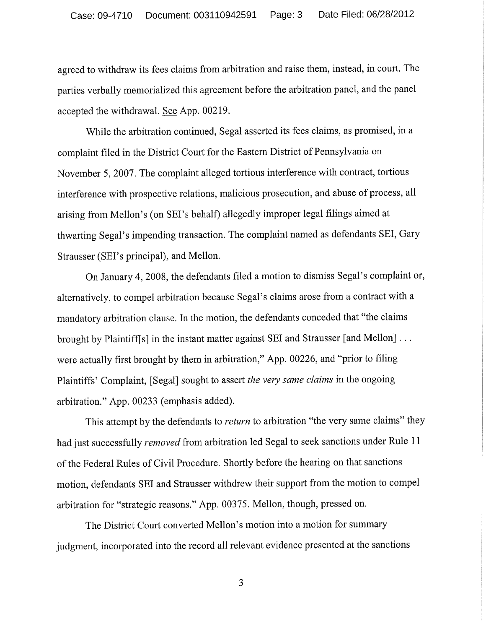agreed to withdraw its fees claims from arbitration and raise them, instead, in court. The parties verbally memorialized this agreement before the arbitration panel, and the panel accepted the withdrawal. See App. 00219.

While the arbitration continued, Segal asserted its fees claims, as promised, in a complaint filed in the District Court for the Eastern District of Pennsylvania on November 5, 2007. The complaint alleged tortious interference with contract, tortious interference with prospective relations, malicious prosecution, and abuse of process, all arising from Mellon's (on SEI's behalf) allegedly improper legal filings aimed at thwarting Segal's impending transaction. The complaint named as defendants SEI, Gary Strausser (SEI's principal), and Mellon.

On January 4, 2008, the defendants filed a motion to dismiss Segal's complaint or, alternatively, to compel arbitration because Segal's claims arose from a contract with a mandatory arbitration clause. In the motion, the defendants conceded that "the claims" brought by Plaintiff[s] in the instant matter against SEI and Strausser [and Mellon] . . . were actually first brought by them in arbitration," App. 00226, and "prior to filing Plaintiffs' Complaint, [Segal] sought to assert the very same claims in the ongoing arbitration." App. 00233 (emphasis added).

This attempt by the defendants to return to arbitration "the very same claims" they had just successfully *removed* from arbitration led Segal to seek sanctions under Rule 11 of the Federal Rules of Civil Procedure. Shortly before the hearing on that sanctions motion, defendants SEI and Strausser withdrew their support from the motion to compel arbitration for "strategic reasons." App. 00375. Mellon, though, pressed on.

The District Court converted Mellon's motion into a motion for summary judgment, incorporated into the record all relevant evidence presented at the sanctions

 $\overline{3}$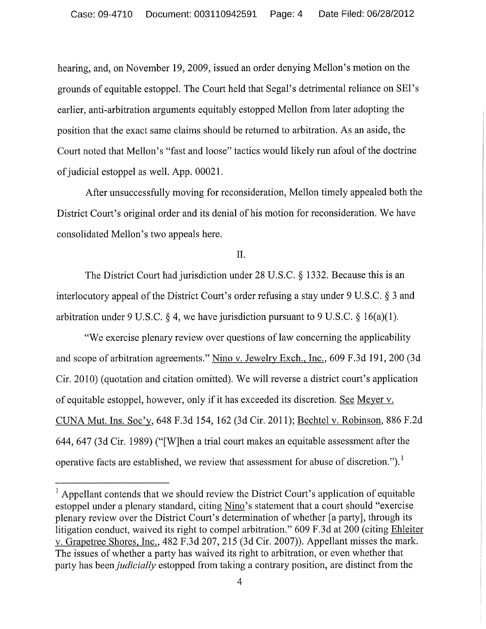hearing, and, on November 19, 2009, issued an order denying Mellon's motion on the grounds of equitable estoppel. The Court held that Segal's detrimental reliance on SEI's earlier, anti-arbitration arguments equitably estopped Mellon from later adopting the position that the exact same claims should be returned to arbitration. As an aside, the Court noted that Mellon's "fast and loose" tactics would likely run afoul of the doctrine of judicial estoppel as well. App. 00021.

After unsuccessfully moving for reconsideration, Mellon timely appealed both the District Court's original order and its denial of his motion for reconsideration. We have consolidated Mellon's two appeals here.

Π.

The District Court had jurisdiction under 28 U.S.C.  $\S$  1332. Because this is an interlocutory appeal of the District Court's order refusing a stay under 9 U.S.C. § 3 and arbitration under 9 U.S.C. § 4, we have jurisdiction pursuant to 9 U.S.C. § 16(a)(1).

"We exercise plenary review over questions of law concerning the applicability and scope of arbitration agreements." Nino v. Jewelry Exch., Inc., 609 F.3d 191, 200 (3d Cir. 2010) (quotation and citation omitted). We will reverse a district court's application of equitable estoppel, however, only if it has exceeded its discretion. See Meyer v. CUNA Mut. Ins. Soc'y, 648 F.3d 154, 162 (3d Cir. 2011); Bechtel v. Robinson, 886 F.2d 644, 647 (3d Cir. 1989) ("[W]hen a trial court makes an equitable assessment after the operative facts are established, we review that assessment for abuse of discretion.").<sup>1</sup>

<sup>&</sup>lt;sup>1</sup> Appellant contends that we should review the District Court's application of equitable estoppel under a plenary standard, citing Nino's statement that a court should "exercise" plenary review over the District Court's determination of whether [a party], through its litigation conduct, waived its right to compel arbitration." 609 F.3d at 200 (citing Ehleiter v. Grapetree Shores, Inc., 482 F.3d 207, 215 (3d Cir. 2007)). Appellant misses the mark. The issues of whether a party has waived its right to arbitration, or even whether that party has been *judicially* estopped from taking a contrary position, are distinct from the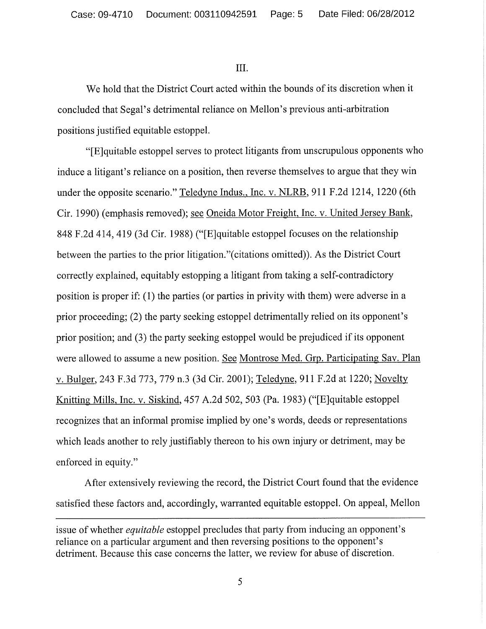III.

We hold that the District Court acted within the bounds of its discretion when it concluded that Segal's detrimental reliance on Mellon's previous anti-arbitration positions justified equitable estoppel.

"[E]quitable estoppel serves to protect litigants from unscrupulous opponents who induce a litigant's reliance on a position, then reverse themselves to argue that they win under the opposite scenario." Teledyne Indus., Inc. v. NLRB, 911 F.2d 1214, 1220 (6th Cir. 1990) (emphasis removed); see Oneida Motor Freight, Inc. v. United Jersey Bank, 848 F.2d 414, 419 (3d Cir. 1988) ("[E]quitable estoppel focuses on the relationship between the parties to the prior litigation." (citations omitted)). As the District Court correctly explained, equitably estopping a litigant from taking a self-contradictory position is proper if: (1) the parties (or parties in privity with them) were adverse in a prior proceeding; (2) the party seeking estoppel detrimentally relied on its opponent's prior position; and (3) the party seeking estoppel would be prejudiced if its opponent were allowed to assume a new position. See Montrose Med. Grp. Participating Sav. Plan v. Bulger, 243 F.3d 773, 779 n.3 (3d Cir. 2001); Teledyne, 911 F.2d at 1220; Novelty Knitting Mills, Inc. v. Siskind, 457 A.2d 502, 503 (Pa. 1983) ("Elquitable estoppel recognizes that an informal promise implied by one's words, deeds or representations which leads another to rely justifiably thereon to his own injury or detriment, may be enforced in equity."

After extensively reviewing the record, the District Court found that the evidence satisfied these factors and, accordingly, warranted equitable estoppel. On appeal, Mellon

issue of whether *equitable* estoppel precludes that party from inducing an opponent's reliance on a particular argument and then reversing positions to the opponent's detriment. Because this case concerns the latter, we review for abuse of discretion.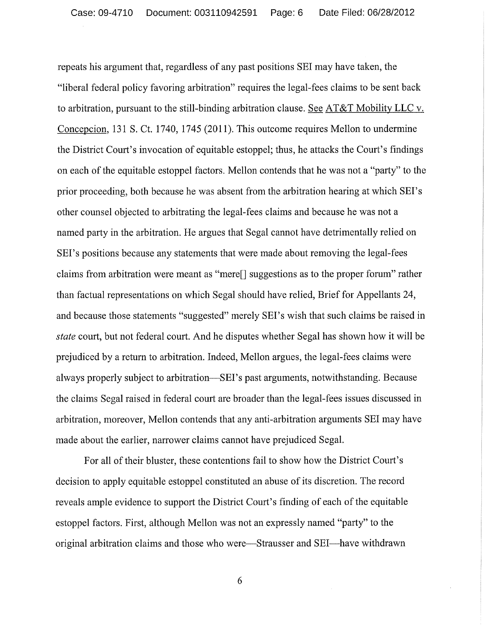repeats his argument that, regardless of any past positions SEI may have taken, the "liberal federal policy favoring arbitration" requires the legal-fees claims to be sent back to arbitration, pursuant to the still-binding arbitration clause. See AT&T Mobility LLC v. Concepcion, 131 S. Ct. 1740, 1745 (2011). This outcome requires Mellon to undermine the District Court's invocation of equitable estoppel; thus, he attacks the Court's findings on each of the equitable estoppel factors. Mellon contends that he was not a "party" to the prior proceeding, both because he was absent from the arbitration hearing at which SEI's other counsel objected to arbitrating the legal-fees claims and because he was not a named party in the arbitration. He argues that Segal cannot have detrimentally relied on SEI's positions because any statements that were made about removing the legal-fees claims from arbitration were meant as "mere<sup>[]</sup> suggestions as to the proper forum" rather than factual representations on which Segal should have relied, Brief for Appellants 24, and because those statements "suggested" merely SEI's wish that such claims be raised in *state* court, but not federal court. And he disputes whether Segal has shown how it will be prejudiced by a return to arbitration. Indeed, Mellon argues, the legal-fees claims were always properly subject to arbitration—SEI's past arguments, notwithstanding. Because the claims Segal raised in federal court are broader than the legal-fees issues discussed in arbitration, moreover, Mellon contends that any anti-arbitration arguments SEI may have made about the earlier, narrower claims cannot have prejudiced Segal.

For all of their bluster, these contentions fail to show how the District Court's decision to apply equitable estoppel constituted an abuse of its discretion. The record reveals ample evidence to support the District Court's finding of each of the equitable estoppel factors. First, although Mellon was not an expressly named "party" to the original arbitration claims and those who were-Strausser and SEI-have withdrawn

6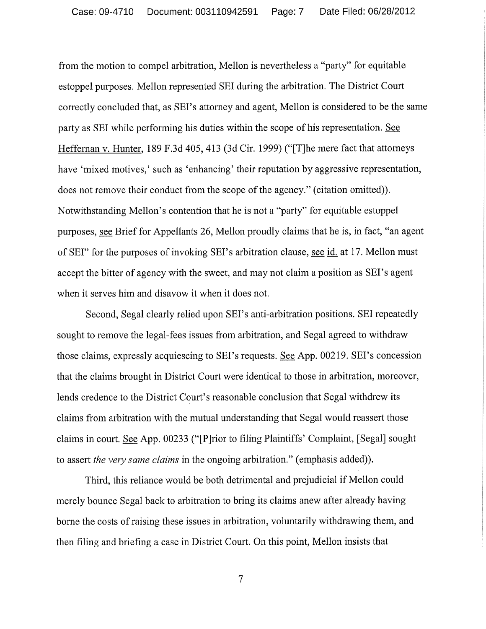from the motion to compel arbitration, Mellon is nevertheless a "party" for equitable estoppel purposes. Mellon represented SEI during the arbitration. The District Court correctly concluded that, as SEI's attorney and agent, Mellon is considered to be the same party as SEI while performing his duties within the scope of his representation. See Heffernan v. Hunter, 189 F.3d 405, 413 (3d Cir. 1999) ("[T]he mere fact that attorneys have 'mixed motives,' such as 'enhancing' their reputation by aggressive representation, does not remove their conduct from the scope of the agency." (citation omitted)). Notwithstanding Mellon's contention that he is not a "party" for equitable estoppel purposes, see Brief for Appellants 26, Mellon proudly claims that he is, in fact, "an agent of SEI" for the purposes of invoking SEI's arbitration clause, see id. at 17. Mellon must accept the bitter of agency with the sweet, and may not claim a position as SEI's agent when it serves him and disavow it when it does not.

Second, Segal clearly relied upon SEI's anti-arbitration positions. SEI repeatedly sought to remove the legal-fees issues from arbitration, and Segal agreed to withdraw those claims, expressly acquiescing to SEI's requests. See App. 00219. SEI's concession that the claims brought in District Court were identical to those in arbitration, moreover, lends credence to the District Court's reasonable conclusion that Segal withdrew its claims from arbitration with the mutual understanding that Segal would reassert those claims in court. See App. 00233 ("[P]rior to filing Plaintiffs' Complaint, [Segal] sought to assert the very same claims in the ongoing arbitration." (emphasis added)).

Third, this reliance would be both detrimental and prejudicial if Mellon could merely bounce Segal back to arbitration to bring its claims anew after already having borne the costs of raising these issues in arbitration, voluntarily withdrawing them, and then filing and briefing a case in District Court. On this point, Mellon insists that

 $\overline{7}$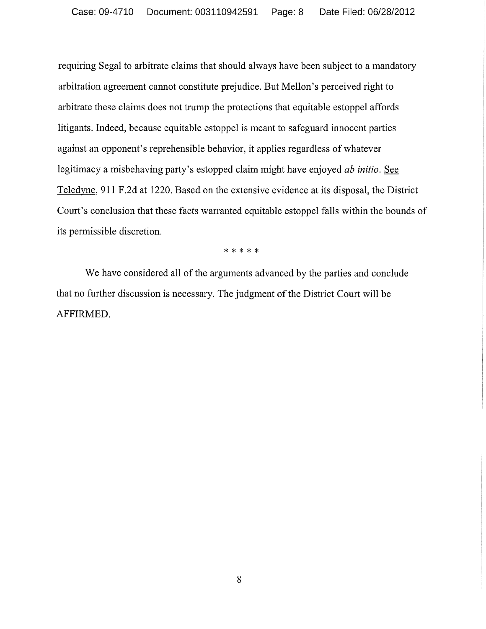requiring Segal to arbitrate claims that should always have been subject to a mandatory arbitration agreement cannot constitute prejudice. But Mellon's perceived right to arbitrate these claims does not trump the protections that equitable estoppel affords litigants. Indeed, because equitable estoppel is meant to safeguard innocent parties against an opponent's reprehensible behavior, it applies regardless of whatever legitimacy a misbehaving party's estopped claim might have enjoyed ab initio. See Teledyne, 911 F.2d at 1220. Based on the extensive evidence at its disposal, the District Court's conclusion that these facts warranted equitable estoppel falls within the bounds of its permissible discretion.

\* \* \* \* \*

We have considered all of the arguments advanced by the parties and conclude that no further discussion is necessary. The judgment of the District Court will be AFFIRMED.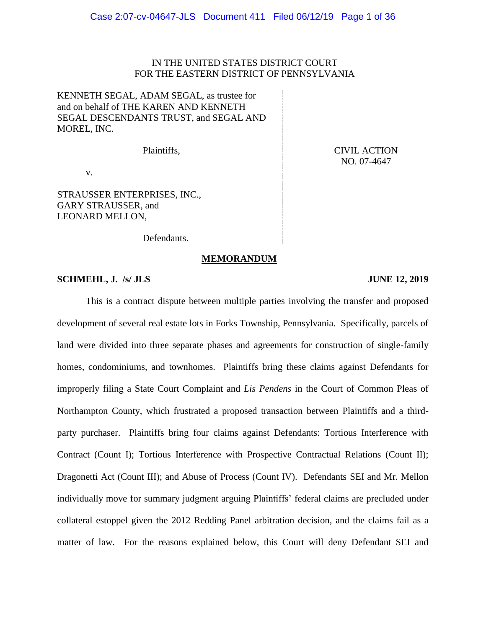# IN THE UNITED STATES DISTRICT COURT FOR THE EASTERN DISTRICT OF PENNSYLVANIA

KENNETH SEGAL, ADAM SEGAL, as trustee for and on behalf of THE KAREN AND KENNETH SEGAL DESCENDANTS TRUST, and SEGAL AND MOREL, INC.

Plaintiffs,

v.

STRAUSSER ENTERPRISES, INC., GARY STRAUSSER, and LEONARD MELLON,

Defendants.

**MEMORANDUM**

## **SCHMEHL, J. /s/ JLS JUNE 12, 2019**

# This is a contract dispute between multiple parties involving the transfer and proposed development of several real estate lots in Forks Township, Pennsylvania. Specifically, parcels of land were divided into three separate phases and agreements for construction of single-family homes, condominiums, and townhomes. Plaintiffs bring these claims against Defendants for improperly filing a State Court Complaint and *Lis Pendens* in the Court of Common Pleas of Northampton County, which frustrated a proposed transaction between Plaintiffs and a thirdparty purchaser. Plaintiffs bring four claims against Defendants: Tortious Interference with Contract (Count I); Tortious Interference with Prospective Contractual Relations (Count II); Dragonetti Act (Count III); and Abuse of Process (Count IV). Defendants SEI and Mr. Mellon individually move for summary judgment arguing Plaintiffs' federal claims are precluded under collateral estoppel given the 2012 Redding Panel arbitration decision, and the claims fail as a matter of law. For the reasons explained below, this Court will deny Defendant SEI and

CIVIL ACTION NO. 07-4647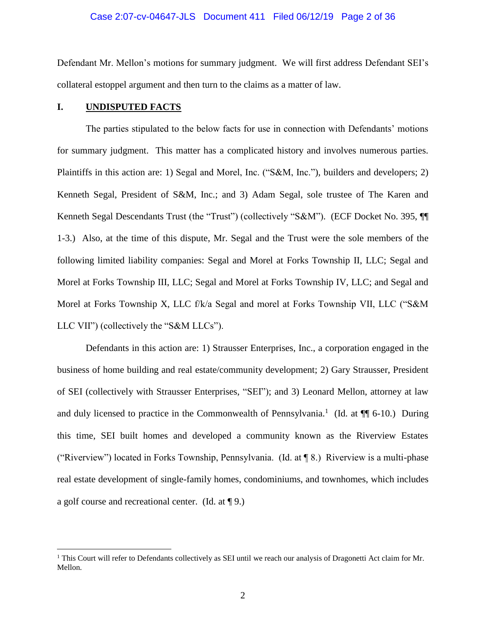#### Case 2:07-cv-04647-JLS Document 411 Filed 06/12/19 Page 2 of 36

Defendant Mr. Mellon's motions for summary judgment. We will first address Defendant SEI's collateral estoppel argument and then turn to the claims as a matter of law.

## **I. UNDISPUTED FACTS**

 $\overline{a}$ 

The parties stipulated to the below facts for use in connection with Defendants' motions for summary judgment. This matter has a complicated history and involves numerous parties. Plaintiffs in this action are: 1) Segal and Morel, Inc. ("S&M, Inc."), builders and developers; 2) Kenneth Segal, President of S&M, Inc.; and 3) Adam Segal, sole trustee of The Karen and Kenneth Segal Descendants Trust (the "Trust") (collectively "S&M"). (ECF Docket No. 395,  $\P\P$ 1-3.) Also, at the time of this dispute, Mr. Segal and the Trust were the sole members of the following limited liability companies: Segal and Morel at Forks Township II, LLC; Segal and Morel at Forks Township III, LLC; Segal and Morel at Forks Township IV, LLC; and Segal and Morel at Forks Township X, LLC f/k/a Segal and morel at Forks Township VII, LLC ("S&M LLC VII") (collectively the "S&M LLCs").

Defendants in this action are: 1) Strausser Enterprises, Inc., a corporation engaged in the business of home building and real estate/community development; 2) Gary Strausser, President of SEI (collectively with Strausser Enterprises, "SEI"); and 3) Leonard Mellon, attorney at law and duly licensed to practice in the Commonwealth of Pennsylvania.<sup>1</sup> (Id. at  $\P$  6-10.) During this time, SEI built homes and developed a community known as the Riverview Estates ("Riverview") located in Forks Township, Pennsylvania. (Id. at ¶ 8.) Riverview is a multi-phase real estate development of single-family homes, condominiums, and townhomes, which includes a golf course and recreational center. (Id. at ¶ 9.)

<sup>&</sup>lt;sup>1</sup> This Court will refer to Defendants collectively as SEI until we reach our analysis of Dragonetti Act claim for Mr. Mellon.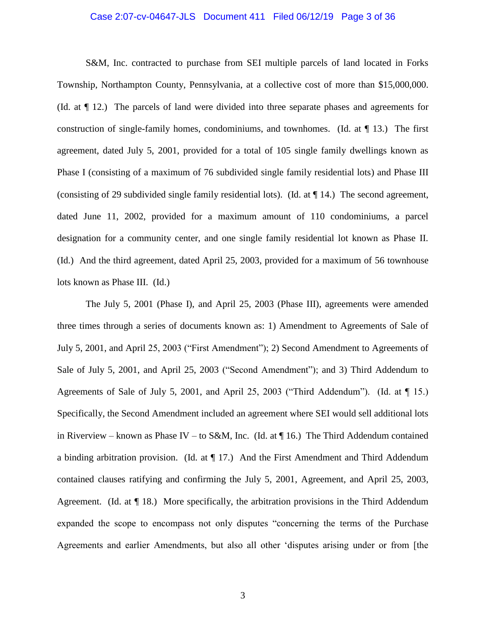#### Case 2:07-cv-04647-JLS Document 411 Filed 06/12/19 Page 3 of 36

S&M, Inc. contracted to purchase from SEI multiple parcels of land located in Forks Township, Northampton County, Pennsylvania, at a collective cost of more than \$15,000,000. (Id. at ¶ 12.) The parcels of land were divided into three separate phases and agreements for construction of single-family homes, condominiums, and townhomes. (Id. at ¶ 13.) The first agreement, dated July 5, 2001, provided for a total of 105 single family dwellings known as Phase I (consisting of a maximum of 76 subdivided single family residential lots) and Phase III (consisting of 29 subdivided single family residential lots). (Id. at ¶ 14.) The second agreement, dated June 11, 2002, provided for a maximum amount of 110 condominiums, a parcel designation for a community center, and one single family residential lot known as Phase II. (Id.) And the third agreement, dated April 25, 2003, provided for a maximum of 56 townhouse lots known as Phase III. (Id.)

The July 5, 2001 (Phase I), and April 25, 2003 (Phase III), agreements were amended three times through a series of documents known as: 1) Amendment to Agreements of Sale of July 5, 2001, and April 25, 2003 ("First Amendment"); 2) Second Amendment to Agreements of Sale of July 5, 2001, and April 25, 2003 ("Second Amendment"); and 3) Third Addendum to Agreements of Sale of July 5, 2001, and April 25, 2003 ("Third Addendum"). (Id. at ¶ 15.) Specifically, the Second Amendment included an agreement where SEI would sell additional lots in Riverview – known as Phase IV – to S&M, Inc. (Id. at  $\P$  16.) The Third Addendum contained a binding arbitration provision. (Id. at  $\P$  17.) And the First Amendment and Third Addendum contained clauses ratifying and confirming the July 5, 2001, Agreement, and April 25, 2003, Agreement. (Id. at  $\P$  18.) More specifically, the arbitration provisions in the Third Addendum expanded the scope to encompass not only disputes "concerning the terms of the Purchase Agreements and earlier Amendments, but also all other 'disputes arising under or from [the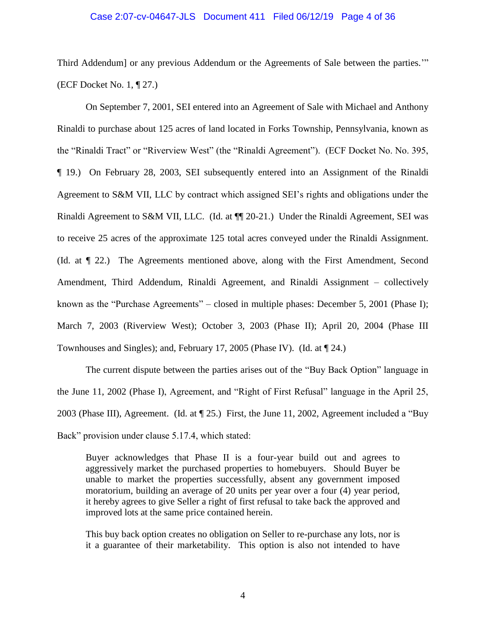#### Case 2:07-cv-04647-JLS Document 411 Filed 06/12/19 Page 4 of 36

Third Addendum] or any previous Addendum or the Agreements of Sale between the parties.'" (ECF Docket No. 1, ¶ 27.)

On September 7, 2001, SEI entered into an Agreement of Sale with Michael and Anthony Rinaldi to purchase about 125 acres of land located in Forks Township, Pennsylvania, known as the "Rinaldi Tract" or "Riverview West" (the "Rinaldi Agreement"). (ECF Docket No. No. 395, ¶ 19.) On February 28, 2003, SEI subsequently entered into an Assignment of the Rinaldi Agreement to S&M VII, LLC by contract which assigned SEI's rights and obligations under the Rinaldi Agreement to S&M VII, LLC. (Id. at ¶¶ 20-21.) Under the Rinaldi Agreement, SEI was to receive 25 acres of the approximate 125 total acres conveyed under the Rinaldi Assignment. (Id. at ¶ 22.) The Agreements mentioned above, along with the First Amendment, Second Amendment, Third Addendum, Rinaldi Agreement, and Rinaldi Assignment – collectively known as the "Purchase Agreements" – closed in multiple phases: December 5, 2001 (Phase I); March 7, 2003 (Riverview West); October 3, 2003 (Phase II); April 20, 2004 (Phase III Townhouses and Singles); and, February 17, 2005 (Phase IV). (Id. at ¶ 24.)

The current dispute between the parties arises out of the "Buy Back Option" language in the June 11, 2002 (Phase I), Agreement, and "Right of First Refusal" language in the April 25, 2003 (Phase III), Agreement. (Id. at ¶ 25.) First, the June 11, 2002, Agreement included a "Buy Back" provision under clause 5.17.4, which stated:

Buyer acknowledges that Phase II is a four-year build out and agrees to aggressively market the purchased properties to homebuyers. Should Buyer be unable to market the properties successfully, absent any government imposed moratorium, building an average of 20 units per year over a four (4) year period, it hereby agrees to give Seller a right of first refusal to take back the approved and improved lots at the same price contained herein.

This buy back option creates no obligation on Seller to re-purchase any lots, nor is it a guarantee of their marketability. This option is also not intended to have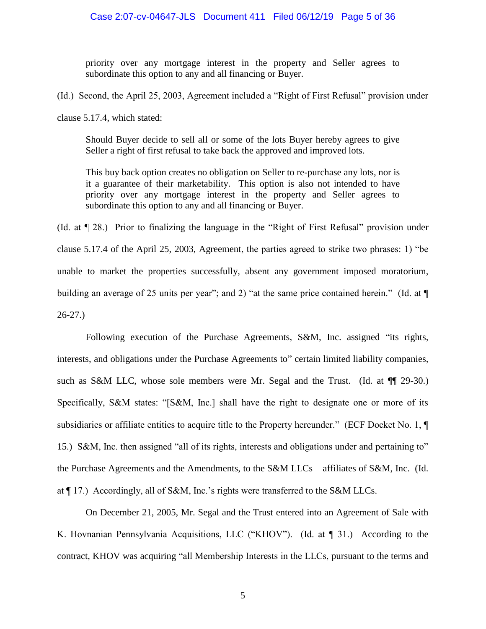priority over any mortgage interest in the property and Seller agrees to subordinate this option to any and all financing or Buyer.

(Id.) Second, the April 25, 2003, Agreement included a "Right of First Refusal" provision under

clause 5.17.4, which stated:

Should Buyer decide to sell all or some of the lots Buyer hereby agrees to give Seller a right of first refusal to take back the approved and improved lots.

This buy back option creates no obligation on Seller to re-purchase any lots, nor is it a guarantee of their marketability. This option is also not intended to have priority over any mortgage interest in the property and Seller agrees to subordinate this option to any and all financing or Buyer.

(Id. at ¶ 28.) Prior to finalizing the language in the "Right of First Refusal" provision under clause 5.17.4 of the April 25, 2003, Agreement, the parties agreed to strike two phrases: 1) "be unable to market the properties successfully, absent any government imposed moratorium, building an average of 25 units per year"; and 2) "at the same price contained herein." (Id. at  $\P$ 26-27.)

Following execution of the Purchase Agreements, S&M, Inc. assigned "its rights, interests, and obligations under the Purchase Agreements to" certain limited liability companies, such as S&M LLC, whose sole members were Mr. Segal and the Trust. (Id. at  $\P$  29-30.) Specifically, S&M states: "[S&M, Inc.] shall have the right to designate one or more of its subsidiaries or affiliate entities to acquire title to the Property hereunder." (ECF Docket No. 1, ¶ 15.) S&M, Inc. then assigned "all of its rights, interests and obligations under and pertaining to" the Purchase Agreements and the Amendments, to the S&M LLCs – affiliates of S&M, Inc. (Id. at ¶ 17.) Accordingly, all of S&M, Inc.'s rights were transferred to the S&M LLCs.

On December 21, 2005, Mr. Segal and the Trust entered into an Agreement of Sale with K. Hovnanian Pennsylvania Acquisitions, LLC ("KHOV"). (Id. at [ 31.) According to the contract, KHOV was acquiring "all Membership Interests in the LLCs, pursuant to the terms and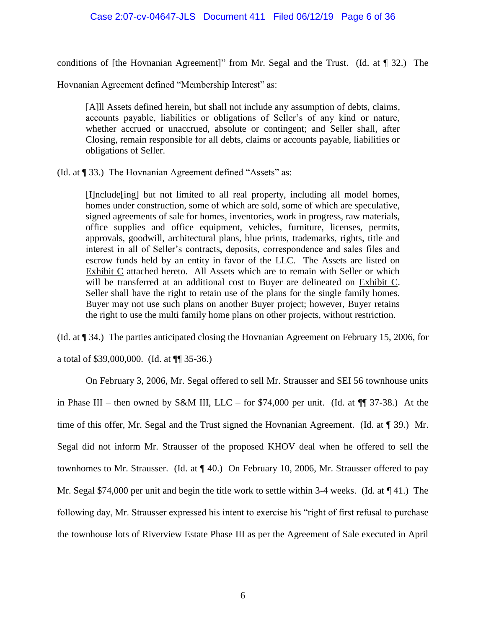# Case 2:07-cv-04647-JLS Document 411 Filed 06/12/19 Page 6 of 36

conditions of [the Hovnanian Agreement]" from Mr. Segal and the Trust. (Id. at ¶ 32.) The

Hovnanian Agreement defined "Membership Interest" as:

[A]ll Assets defined herein, but shall not include any assumption of debts, claims, accounts payable, liabilities or obligations of Seller's of any kind or nature, whether accrued or unaccrued, absolute or contingent; and Seller shall, after Closing, remain responsible for all debts, claims or accounts payable, liabilities or obligations of Seller.

(Id. at ¶ 33.) The Hovnanian Agreement defined "Assets" as:

[I]nclude[ing] but not limited to all real property, including all model homes, homes under construction, some of which are sold, some of which are speculative, signed agreements of sale for homes, inventories, work in progress, raw materials, office supplies and office equipment, vehicles, furniture, licenses, permits, approvals, goodwill, architectural plans, blue prints, trademarks, rights, title and interest in all of Seller's contracts, deposits, correspondence and sales files and escrow funds held by an entity in favor of the LLC. The Assets are listed on Exhibit C attached hereto. All Assets which are to remain with Seller or which will be transferred at an additional cost to Buyer are delineated on Exhibit C. Seller shall have the right to retain use of the plans for the single family homes. Buyer may not use such plans on another Buyer project; however, Buyer retains the right to use the multi family home plans on other projects, without restriction.

(Id. at ¶ 34.) The parties anticipated closing the Hovnanian Agreement on February 15, 2006, for

a total of \$39,000,000. (Id. at ¶¶ 35-36.)

On February 3, 2006, Mr. Segal offered to sell Mr. Strausser and SEI 56 townhouse units in Phase III – then owned by S&M III, LLC – for \$74,000 per unit. (Id. at  $\P$   $\P$  37-38.) At the time of this offer, Mr. Segal and the Trust signed the Hovnanian Agreement. (Id. at ¶ 39.) Mr. Segal did not inform Mr. Strausser of the proposed KHOV deal when he offered to sell the townhomes to Mr. Strausser. (Id. at ¶ 40.) On February 10, 2006, Mr. Strausser offered to pay Mr. Segal \$74,000 per unit and begin the title work to settle within 3-4 weeks. (Id. at  $\P$  41.) The following day, Mr. Strausser expressed his intent to exercise his "right of first refusal to purchase the townhouse lots of Riverview Estate Phase III as per the Agreement of Sale executed in April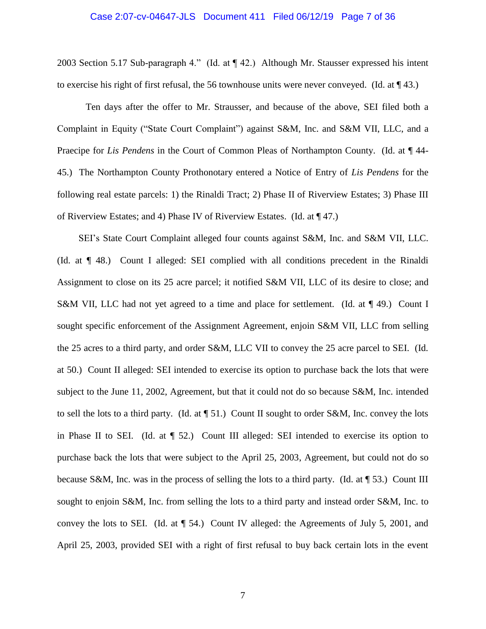#### Case 2:07-cv-04647-JLS Document 411 Filed 06/12/19 Page 7 of 36

2003 Section 5.17 Sub-paragraph 4." (Id. at ¶ 42.) Although Mr. Stausser expressed his intent to exercise his right of first refusal, the 56 townhouse units were never conveyed. (Id. at  $\P$  43.)

Ten days after the offer to Mr. Strausser, and because of the above, SEI filed both a Complaint in Equity ("State Court Complaint") against S&M, Inc. and S&M VII, LLC, and a Praecipe for *Lis Pendens* in the Court of Common Pleas of Northampton County. (Id. at ¶ 44- 45.) The Northampton County Prothonotary entered a Notice of Entry of *Lis Pendens* for the following real estate parcels: 1) the Rinaldi Tract; 2) Phase II of Riverview Estates; 3) Phase III of Riverview Estates; and 4) Phase IV of Riverview Estates. (Id. at ¶ 47.)

SEI's State Court Complaint alleged four counts against S&M, Inc. and S&M VII, LLC. (Id. at ¶ 48.) Count I alleged: SEI complied with all conditions precedent in the Rinaldi Assignment to close on its 25 acre parcel; it notified S&M VII, LLC of its desire to close; and S&M VII, LLC had not yet agreed to a time and place for settlement. (Id. at  $\P$  49.) Count I sought specific enforcement of the Assignment Agreement, enjoin S&M VII, LLC from selling the 25 acres to a third party, and order S&M, LLC VII to convey the 25 acre parcel to SEI. (Id. at 50.) Count II alleged: SEI intended to exercise its option to purchase back the lots that were subject to the June 11, 2002, Agreement, but that it could not do so because S&M, Inc. intended to sell the lots to a third party. (Id. at ¶ 51.) Count II sought to order S&M, Inc. convey the lots in Phase II to SEI. (Id. at ¶ 52.) Count III alleged: SEI intended to exercise its option to purchase back the lots that were subject to the April 25, 2003, Agreement, but could not do so because S&M, Inc. was in the process of selling the lots to a third party. (Id. at ¶ 53.) Count III sought to enjoin S&M, Inc. from selling the lots to a third party and instead order S&M, Inc. to convey the lots to SEI. (Id. at ¶ 54.) Count IV alleged: the Agreements of July 5, 2001, and April 25, 2003, provided SEI with a right of first refusal to buy back certain lots in the event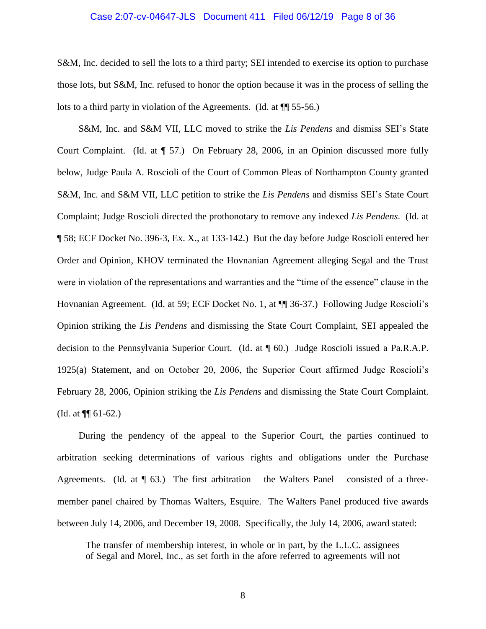#### Case 2:07-cv-04647-JLS Document 411 Filed 06/12/19 Page 8 of 36

S&M, Inc. decided to sell the lots to a third party; SEI intended to exercise its option to purchase those lots, but S&M, Inc. refused to honor the option because it was in the process of selling the lots to a third party in violation of the Agreements. (Id. at ¶¶ 55-56.)

S&M, Inc. and S&M VII, LLC moved to strike the *Lis Pendens* and dismiss SEI's State Court Complaint. (Id. at ¶ 57.) On February 28, 2006, in an Opinion discussed more fully below, Judge Paula A. Roscioli of the Court of Common Pleas of Northampton County granted S&M, Inc. and S&M VII, LLC petition to strike the *Lis Pendens* and dismiss SEI's State Court Complaint; Judge Roscioli directed the prothonotary to remove any indexed *Lis Pendens*. (Id. at ¶ 58; ECF Docket No. 396-3, Ex. X., at 133-142.) But the day before Judge Roscioli entered her Order and Opinion, KHOV terminated the Hovnanian Agreement alleging Segal and the Trust were in violation of the representations and warranties and the "time of the essence" clause in the Hovnanian Agreement. (Id. at 59; ECF Docket No. 1, at ¶¶ 36-37.) Following Judge Roscioli's Opinion striking the *Lis Pendens* and dismissing the State Court Complaint, SEI appealed the decision to the Pennsylvania Superior Court. (Id. at ¶ 60.) Judge Roscioli issued a Pa.R.A.P. 1925(a) Statement, and on October 20, 2006, the Superior Court affirmed Judge Roscioli's February 28, 2006, Opinion striking the *Lis Pendens* and dismissing the State Court Complaint. (Id. at ¶¶ 61-62.)

During the pendency of the appeal to the Superior Court, the parties continued to arbitration seeking determinations of various rights and obligations under the Purchase Agreements. (Id. at  $\P$  63.) The first arbitration – the Walters Panel – consisted of a threemember panel chaired by Thomas Walters, Esquire. The Walters Panel produced five awards between July 14, 2006, and December 19, 2008. Specifically, the July 14, 2006, award stated:

The transfer of membership interest, in whole or in part, by the L.L.C. assignees of Segal and Morel, Inc., as set forth in the afore referred to agreements will not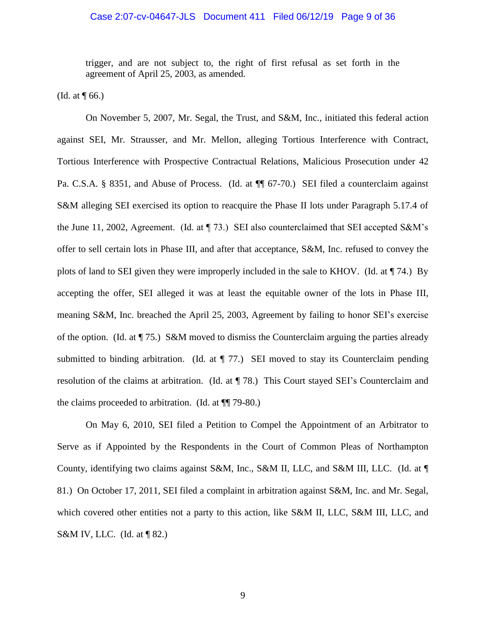#### Case 2:07-cv-04647-JLS Document 411 Filed 06/12/19 Page 9 of 36

trigger, and are not subject to, the right of first refusal as set forth in the agreement of April 25, 2003, as amended.

(Id. at  $\P$  66.)

On November 5, 2007, Mr. Segal, the Trust, and S&M, Inc., initiated this federal action against SEI, Mr. Strausser, and Mr. Mellon, alleging Tortious Interference with Contract, Tortious Interference with Prospective Contractual Relations, Malicious Prosecution under 42 Pa. C.S.A. § 8351, and Abuse of Process. (Id. at  $\P$  67-70.) SEI filed a counterclaim against S&M alleging SEI exercised its option to reacquire the Phase II lots under Paragraph 5.17.4 of the June 11, 2002, Agreement. (Id. at ¶ 73.) SEI also counterclaimed that SEI accepted S&M's offer to sell certain lots in Phase III, and after that acceptance, S&M, Inc. refused to convey the plots of land to SEI given they were improperly included in the sale to KHOV. (Id. at ¶ 74.) By accepting the offer, SEI alleged it was at least the equitable owner of the lots in Phase III, meaning S&M, Inc. breached the April 25, 2003, Agreement by failing to honor SEI's exercise of the option. (Id. at  $\P$  75.) S&M moved to dismiss the Counterclaim arguing the parties already submitted to binding arbitration. (Id. at  $\P$  77.) SEI moved to stay its Counterclaim pending resolution of the claims at arbitration. (Id. at ¶ 78.) This Court stayed SEI's Counterclaim and the claims proceeded to arbitration. (Id. at ¶¶ 79-80.)

On May 6, 2010, SEI filed a Petition to Compel the Appointment of an Arbitrator to Serve as if Appointed by the Respondents in the Court of Common Pleas of Northampton County, identifying two claims against S&M, Inc., S&M II, LLC, and S&M III, LLC. (Id. at ¶ 81.) On October 17, 2011, SEI filed a complaint in arbitration against S&M, Inc. and Mr. Segal, which covered other entities not a party to this action, like S&M II, LLC, S&M III, LLC, and S&M IV, LLC. (Id. at  $\P$ 82.)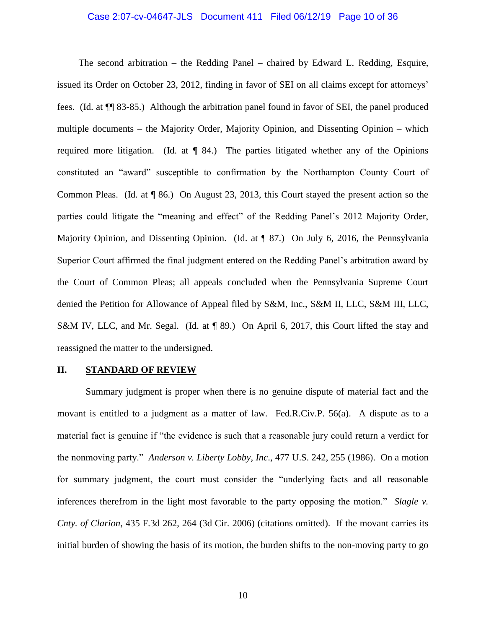# Case 2:07-cv-04647-JLS Document 411 Filed 06/12/19 Page 10 of 36

The second arbitration – the Redding Panel – chaired by Edward L. Redding, Esquire, issued its Order on October 23, 2012, finding in favor of SEI on all claims except for attorneys' fees. (Id. at ¶¶ 83-85.) Although the arbitration panel found in favor of SEI, the panel produced multiple documents – the Majority Order, Majority Opinion, and Dissenting Opinion – which required more litigation. (Id. at ¶ 84.) The parties litigated whether any of the Opinions constituted an "award" susceptible to confirmation by the Northampton County Court of Common Pleas. (Id. at ¶ 86.) On August 23, 2013, this Court stayed the present action so the parties could litigate the "meaning and effect" of the Redding Panel's 2012 Majority Order, Majority Opinion, and Dissenting Opinion. (Id. at ¶ 87.) On July 6, 2016, the Pennsylvania Superior Court affirmed the final judgment entered on the Redding Panel's arbitration award by the Court of Common Pleas; all appeals concluded when the Pennsylvania Supreme Court denied the Petition for Allowance of Appeal filed by S&M, Inc., S&M II, LLC, S&M III, LLC, S&M IV, LLC, and Mr. Segal. (Id. at ¶ 89.) On April 6, 2017, this Court lifted the stay and reassigned the matter to the undersigned.

#### **II. STANDARD OF REVIEW**

Summary judgment is proper when there is no genuine dispute of material fact and the movant is entitled to a judgment as a matter of law. Fed.R.Civ.P. 56(a). A dispute as to a material fact is genuine if "the evidence is such that a reasonable jury could return a verdict for the nonmoving party." *Anderson v. Liberty Lobby, Inc*., 477 U.S. 242, 255 (1986). On a motion for summary judgment, the court must consider the "underlying facts and all reasonable inferences therefrom in the light most favorable to the party opposing the motion." *Slagle v. Cnty. of Clarion*, 435 F.3d 262, 264 (3d Cir. 2006) (citations omitted). If the movant carries its initial burden of showing the basis of its motion, the burden shifts to the non-moving party to go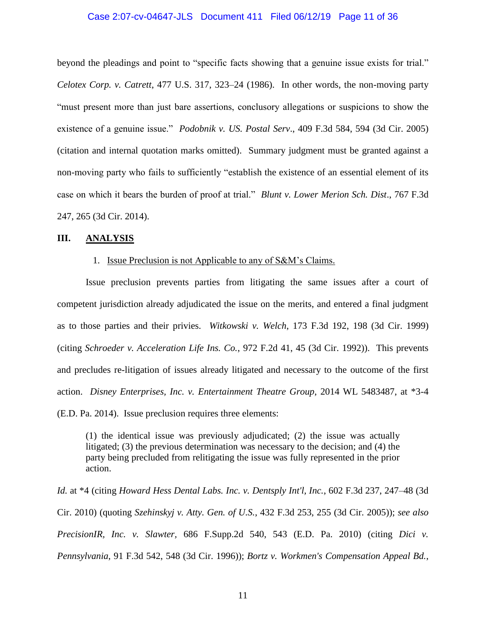#### Case 2:07-cv-04647-JLS Document 411 Filed 06/12/19 Page 11 of 36

beyond the pleadings and point to "specific facts showing that a genuine issue exists for trial." *Celotex Corp. v. Catrett*, 477 U.S. 317, 323–24 (1986). In other words, the non-moving party "must present more than just bare assertions, conclusory allegations or suspicions to show the existence of a genuine issue." *Podobnik v. US. Postal Serv*., 409 F.3d 584, 594 (3d Cir. 2005) (citation and internal quotation marks omitted). Summary judgment must be granted against a non-moving party who fails to sufficiently "establish the existence of an essential element of its case on which it bears the burden of proof at trial." *Blunt v. Lower Merion Sch. Dist*., 767 F.3d 247, 265 (3d Cir. 2014).

## **III. ANALYSIS**

## 1. Issue Preclusion is not Applicable to any of S&M's Claims.

Issue preclusion prevents parties from litigating the same issues after a court of competent jurisdiction already adjudicated the issue on the merits, and entered a final judgment as to those parties and their privies. *Witkowski v. Welch*, 173 F.3d 192, 198 (3d Cir. 1999) (citing *Schroeder v. Acceleration Life Ins. Co.*, 972 F.2d 41, 45 (3d Cir. 1992)). This prevents and precludes re-litigation of issues already litigated and necessary to the outcome of the first action. *Disney Enterprises, Inc. v. Entertainment Theatre Group*, 2014 WL 5483487, at \*3-4 (E.D. Pa. 2014). Issue preclusion requires three elements:

(1) the identical issue was previously adjudicated; (2) the issue was actually litigated; (3) the previous determination was necessary to the decision; and (4) the party being precluded from relitigating the issue was fully represented in the prior action.

*Id.* at \*4 (citing *Howard Hess Dental Labs. Inc. v. Dentsply Int'l, Inc.*, 602 F.3d 237, 247–48 (3d Cir. 2010) (quoting *Szehinskyj v. Atty. Gen. of U.S.*, 432 F.3d 253, 255 (3d Cir. 2005)); *see also PrecisionIR, Inc. v. Slawter,* 686 F.Supp.2d 540, 543 (E.D. Pa. 2010) (citing *Dici v. Pennsylvania*, 91 F.3d 542, 548 (3d Cir. 1996)); *Bortz v. Workmen's Compensation Appeal Bd.*,

11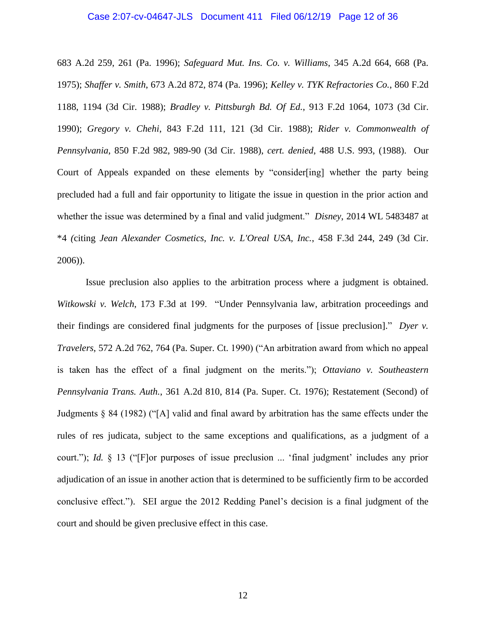#### Case 2:07-cv-04647-JLS Document 411 Filed 06/12/19 Page 12 of 36

683 A.2d 259, 261 (Pa. 1996); *Safeguard Mut. Ins. Co. v. Williams*, 345 A.2d 664, 668 (Pa. 1975); *Shaffer v. Smith*, 673 A.2d 872, 874 (Pa. 1996); *Kelley v. TYK Refractories Co.*, 860 F.2d 1188, 1194 (3d Cir. 1988); *Bradley v. Pittsburgh Bd. Of Ed.*, 913 F.2d 1064, 1073 (3d Cir. 1990); *Gregory v. Chehi*, 843 F.2d 111, 121 (3d Cir. 1988); *Rider v. Commonwealth of Pennsylvania*, 850 F.2d 982, 989-90 (3d Cir. 1988), *cert. denied*, 488 U.S. 993, (1988). Our Court of Appeals expanded on these elements by "consider[ing] whether the party being precluded had a full and fair opportunity to litigate the issue in question in the prior action and whether the issue was determined by a final and valid judgment." *Disney*, 2014 WL 5483487 at \*4 *(*citing *Jean Alexander Cosmetics, Inc. v. L'Oreal USA, Inc.*, 458 F.3d 244, 249 (3d Cir. 2006)).

Issue preclusion also applies to the arbitration process where a judgment is obtained. *Witkowski v. Welch*, 173 F.3d at 199. "Under Pennsylvania law, arbitration proceedings and their findings are considered final judgments for the purposes of [issue preclusion]." *Dyer v. Travelers*, 572 A.2d 762, 764 (Pa. Super. Ct. 1990) ("An arbitration award from which no appeal is taken has the effect of a final judgment on the merits."); *Ottaviano v. Southeastern Pennsylvania Trans. Auth.*, 361 A.2d 810, 814 (Pa. Super. Ct. 1976); Restatement (Second) of Judgments § 84 (1982) ("[A] valid and final award by arbitration has the same effects under the rules of res judicata, subject to the same exceptions and qualifications, as a judgment of a court."); *Id.* § 13 ("[F]or purposes of issue preclusion ... 'final judgment' includes any prior adjudication of an issue in another action that is determined to be sufficiently firm to be accorded conclusive effect."). SEI argue the 2012 Redding Panel's decision is a final judgment of the court and should be given preclusive effect in this case.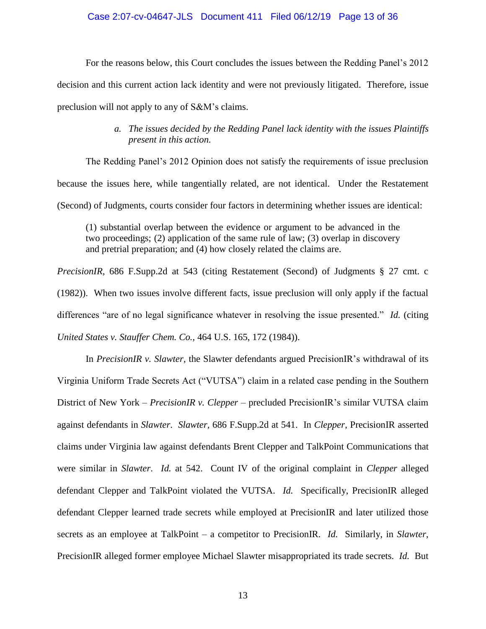## Case 2:07-cv-04647-JLS Document 411 Filed 06/12/19 Page 13 of 36

For the reasons below, this Court concludes the issues between the Redding Panel's 2012 decision and this current action lack identity and were not previously litigated. Therefore, issue preclusion will not apply to any of S&M's claims.

# *a. The issues decided by the Redding Panel lack identity with the issues Plaintiffs present in this action.*

The Redding Panel's 2012 Opinion does not satisfy the requirements of issue preclusion because the issues here, while tangentially related, are not identical. Under the Restatement (Second) of Judgments, courts consider four factors in determining whether issues are identical:

(1) substantial overlap between the evidence or argument to be advanced in the two proceedings; (2) application of the same rule of law; (3) overlap in discovery and pretrial preparation; and (4) how closely related the claims are.

*PrecisionIR*, 686 F.Supp.2d at 543 (citing Restatement (Second) of Judgments § 27 cmt. c (1982)). When two issues involve different facts, issue preclusion will only apply if the factual differences "are of no legal significance whatever in resolving the issue presented." *Id.* (citing *United States v. Stauffer Chem. Co.*, 464 U.S. 165, 172 (1984)).

In *PrecisionIR v. Slawter*, the Slawter defendants argued PrecisionIR's withdrawal of its Virginia Uniform Trade Secrets Act ("VUTSA") claim in a related case pending in the Southern District of New York – *PrecisionIR v. Clepper* – precluded PrecisionIR's similar VUTSA claim against defendants in *Slawter*. *Slawter,* 686 F.Supp.2d at 541. In *Clepper*, PrecisionIR asserted claims under Virginia law against defendants Brent Clepper and TalkPoint Communications that were similar in *Slawter*. *Id.* at 542. Count IV of the original complaint in *Clepper* alleged defendant Clepper and TalkPoint violated the VUTSA. *Id.* Specifically, PrecisionIR alleged defendant Clepper learned trade secrets while employed at PrecisionIR and later utilized those secrets as an employee at TalkPoint – a competitor to PrecisionIR. *Id.* Similarly, in *Slawter*, PrecisionIR alleged former employee Michael Slawter misappropriated its trade secrets. *Id.* But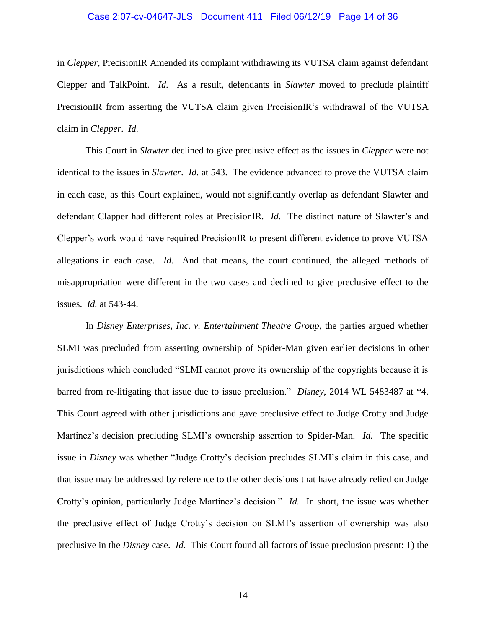# Case 2:07-cv-04647-JLS Document 411 Filed 06/12/19 Page 14 of 36

in *Clepper*, PrecisionIR Amended its complaint withdrawing its VUTSA claim against defendant Clepper and TalkPoint. *Id.* As a result, defendants in *Slawter* moved to preclude plaintiff PrecisionIR from asserting the VUTSA claim given PrecisionIR's withdrawal of the VUTSA claim in *Clepper*. *Id.*

This Court in *Slawter* declined to give preclusive effect as the issues in *Clepper* were not identical to the issues in *Slawter*. *Id.* at 543. The evidence advanced to prove the VUTSA claim in each case, as this Court explained, would not significantly overlap as defendant Slawter and defendant Clapper had different roles at PrecisionIR. *Id.* The distinct nature of Slawter's and Clepper's work would have required PrecisionIR to present different evidence to prove VUTSA allegations in each case. *Id.* And that means, the court continued, the alleged methods of misappropriation were different in the two cases and declined to give preclusive effect to the issues. *Id.* at 543-44.

In *Disney Enterprises, Inc. v. Entertainment Theatre Group*, the parties argued whether SLMI was precluded from asserting ownership of Spider-Man given earlier decisions in other jurisdictions which concluded "SLMI cannot prove its ownership of the copyrights because it is barred from re-litigating that issue due to issue preclusion." *Disney*, 2014 WL 5483487 at \*4. This Court agreed with other jurisdictions and gave preclusive effect to Judge Crotty and Judge Martinez's decision precluding SLMI's ownership assertion to Spider-Man. *Id.* The specific issue in *Disney* was whether "Judge Crotty's decision precludes SLMI's claim in this case, and that issue may be addressed by reference to the other decisions that have already relied on Judge Crotty's opinion, particularly Judge Martinez's decision." *Id.* In short, the issue was whether the preclusive effect of Judge Crotty's decision on SLMI's assertion of ownership was also preclusive in the *Disney* case. *Id.* This Court found all factors of issue preclusion present: 1) the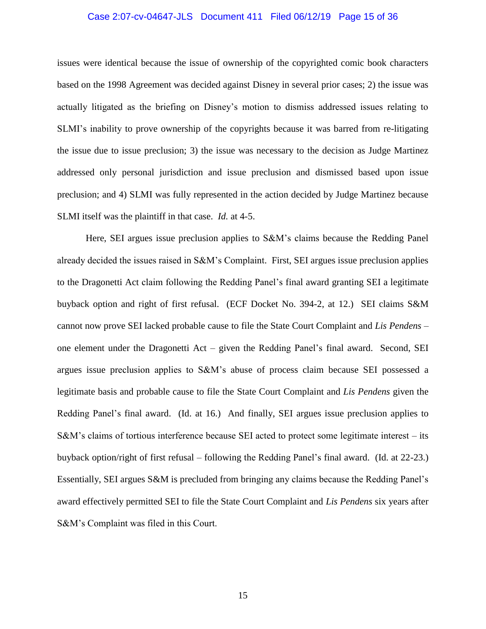#### Case 2:07-cv-04647-JLS Document 411 Filed 06/12/19 Page 15 of 36

issues were identical because the issue of ownership of the copyrighted comic book characters based on the 1998 Agreement was decided against Disney in several prior cases; 2) the issue was actually litigated as the briefing on Disney's motion to dismiss addressed issues relating to SLMI's inability to prove ownership of the copyrights because it was barred from re-litigating the issue due to issue preclusion; 3) the issue was necessary to the decision as Judge Martinez addressed only personal jurisdiction and issue preclusion and dismissed based upon issue preclusion; and 4) SLMI was fully represented in the action decided by Judge Martinez because SLMI itself was the plaintiff in that case. *Id.* at 4-5.

Here, SEI argues issue preclusion applies to S&M's claims because the Redding Panel already decided the issues raised in S&M's Complaint. First, SEI argues issue preclusion applies to the Dragonetti Act claim following the Redding Panel's final award granting SEI a legitimate buyback option and right of first refusal. (ECF Docket No. 394-2, at 12.) SEI claims S&M cannot now prove SEI lacked probable cause to file the State Court Complaint and *Lis Pendens* – one element under the Dragonetti Act – given the Redding Panel's final award. Second, SEI argues issue preclusion applies to S&M's abuse of process claim because SEI possessed a legitimate basis and probable cause to file the State Court Complaint and *Lis Pendens* given the Redding Panel's final award. (Id. at 16.) And finally, SEI argues issue preclusion applies to S&M's claims of tortious interference because SEI acted to protect some legitimate interest – its buyback option/right of first refusal – following the Redding Panel's final award. (Id. at 22-23.) Essentially, SEI argues S&M is precluded from bringing any claims because the Redding Panel's award effectively permitted SEI to file the State Court Complaint and *Lis Pendens* six years after S&M's Complaint was filed in this Court.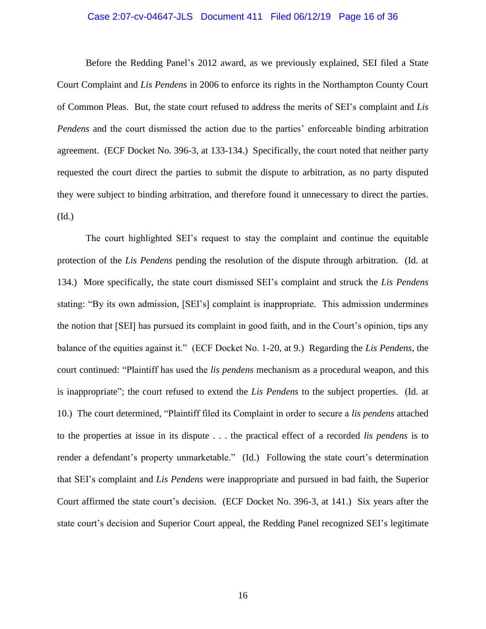#### Case 2:07-cv-04647-JLS Document 411 Filed 06/12/19 Page 16 of 36

Before the Redding Panel's 2012 award, as we previously explained, SEI filed a State Court Complaint and *Lis Pendens* in 2006 to enforce its rights in the Northampton County Court of Common Pleas. But, the state court refused to address the merits of SEI's complaint and *Lis Pendens* and the court dismissed the action due to the parties' enforceable binding arbitration agreement. (ECF Docket No. 396-3, at 133-134.) Specifically, the court noted that neither party requested the court direct the parties to submit the dispute to arbitration, as no party disputed they were subject to binding arbitration, and therefore found it unnecessary to direct the parties. (Id.)

The court highlighted SEI's request to stay the complaint and continue the equitable protection of the *Lis Pendens* pending the resolution of the dispute through arbitration. (Id. at 134.) More specifically, the state court dismissed SEI's complaint and struck the *Lis Pendens* stating: "By its own admission, [SEI's] complaint is inappropriate. This admission undermines the notion that [SEI] has pursued its complaint in good faith, and in the Court's opinion, tips any balance of the equities against it." (ECF Docket No. 1-20, at 9.) Regarding the *Lis Pendens*, the court continued: "Plaintiff has used the *lis pendens* mechanism as a procedural weapon, and this is inappropriate"; the court refused to extend the *Lis Pendens* to the subject properties. (Id. at 10.) The court determined, "Plaintiff filed its Complaint in order to secure a *lis pendens* attached to the properties at issue in its dispute . . . the practical effect of a recorded *lis pendens* is to render a defendant's property unmarketable." (Id.) Following the state court's determination that SEI's complaint and *Lis Pendens* were inappropriate and pursued in bad faith, the Superior Court affirmed the state court's decision. (ECF Docket No. 396-3, at 141.) Six years after the state court's decision and Superior Court appeal, the Redding Panel recognized SEI's legitimate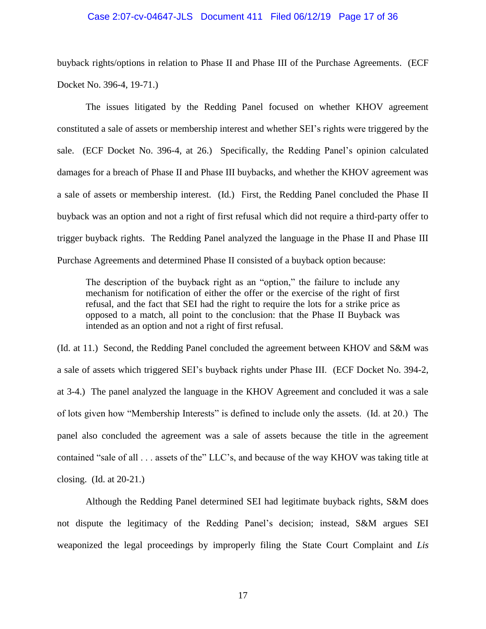#### Case 2:07-cv-04647-JLS Document 411 Filed 06/12/19 Page 17 of 36

buyback rights/options in relation to Phase II and Phase III of the Purchase Agreements. (ECF Docket No. 396-4, 19-71.)

The issues litigated by the Redding Panel focused on whether KHOV agreement constituted a sale of assets or membership interest and whether SEI's rights were triggered by the sale. (ECF Docket No. 396-4, at 26.) Specifically, the Redding Panel's opinion calculated damages for a breach of Phase II and Phase III buybacks, and whether the KHOV agreement was a sale of assets or membership interest. (Id.) First, the Redding Panel concluded the Phase II buyback was an option and not a right of first refusal which did not require a third-party offer to trigger buyback rights. The Redding Panel analyzed the language in the Phase II and Phase III Purchase Agreements and determined Phase II consisted of a buyback option because:

The description of the buyback right as an "option," the failure to include any mechanism for notification of either the offer or the exercise of the right of first refusal, and the fact that SEI had the right to require the lots for a strike price as opposed to a match, all point to the conclusion: that the Phase II Buyback was intended as an option and not a right of first refusal.

(Id. at 11.) Second, the Redding Panel concluded the agreement between KHOV and S&M was a sale of assets which triggered SEI's buyback rights under Phase III. (ECF Docket No. 394-2, at 3-4.) The panel analyzed the language in the KHOV Agreement and concluded it was a sale of lots given how "Membership Interests" is defined to include only the assets. (Id. at 20.) The panel also concluded the agreement was a sale of assets because the title in the agreement contained "sale of all . . . assets of the" LLC's, and because of the way KHOV was taking title at closing. (Id. at 20-21.)

Although the Redding Panel determined SEI had legitimate buyback rights, S&M does not dispute the legitimacy of the Redding Panel's decision; instead, S&M argues SEI weaponized the legal proceedings by improperly filing the State Court Complaint and *Lis*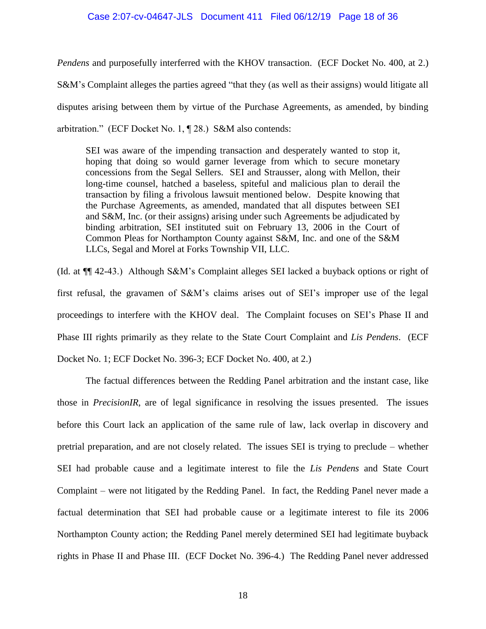#### Case 2:07-cv-04647-JLS Document 411 Filed 06/12/19 Page 18 of 36

*Pendens* and purposefully interferred with the KHOV transaction. (ECF Docket No. 400, at 2.) S&M's Complaint alleges the parties agreed "that they (as well as their assigns) would litigate all disputes arising between them by virtue of the Purchase Agreements, as amended, by binding arbitration." (ECF Docket No. 1, ¶ 28.) S&M also contends:

SEI was aware of the impending transaction and desperately wanted to stop it, hoping that doing so would garner leverage from which to secure monetary concessions from the Segal Sellers. SEI and Strausser, along with Mellon, their long-time counsel, hatched a baseless, spiteful and malicious plan to derail the transaction by filing a frivolous lawsuit mentioned below. Despite knowing that the Purchase Agreements, as amended, mandated that all disputes between SEI and S&M, Inc. (or their assigns) arising under such Agreements be adjudicated by binding arbitration, SEI instituted suit on February 13, 2006 in the Court of Common Pleas for Northampton County against S&M, Inc. and one of the S&M LLCs, Segal and Morel at Forks Township VII, LLC.

(Id. at ¶¶ 42-43.) Although S&M's Complaint alleges SEI lacked a buyback options or right of first refusal, the gravamen of S&M's claims arises out of SEI's improper use of the legal proceedings to interfere with the KHOV deal. The Complaint focuses on SEI's Phase II and Phase III rights primarily as they relate to the State Court Complaint and *Lis Pendens*. (ECF Docket No. 1; ECF Docket No. 396-3; ECF Docket No. 400, at 2.)

The factual differences between the Redding Panel arbitration and the instant case, like those in *PrecisionIR*, are of legal significance in resolving the issues presented. The issues before this Court lack an application of the same rule of law, lack overlap in discovery and pretrial preparation, and are not closely related. The issues SEI is trying to preclude – whether SEI had probable cause and a legitimate interest to file the *Lis Pendens* and State Court Complaint – were not litigated by the Redding Panel. In fact, the Redding Panel never made a factual determination that SEI had probable cause or a legitimate interest to file its 2006 Northampton County action; the Redding Panel merely determined SEI had legitimate buyback rights in Phase II and Phase III. (ECF Docket No. 396-4.) The Redding Panel never addressed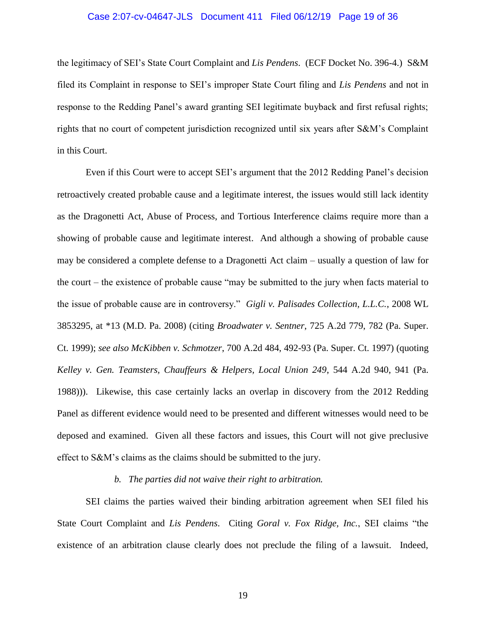#### Case 2:07-cv-04647-JLS Document 411 Filed 06/12/19 Page 19 of 36

the legitimacy of SEI's State Court Complaint and *Lis Pendens*. (ECF Docket No. 396-4.) S&M filed its Complaint in response to SEI's improper State Court filing and *Lis Pendens* and not in response to the Redding Panel's award granting SEI legitimate buyback and first refusal rights; rights that no court of competent jurisdiction recognized until six years after S&M's Complaint in this Court.

Even if this Court were to accept SEI's argument that the 2012 Redding Panel's decision retroactively created probable cause and a legitimate interest, the issues would still lack identity as the Dragonetti Act, Abuse of Process, and Tortious Interference claims require more than a showing of probable cause and legitimate interest. And although a showing of probable cause may be considered a complete defense to a Dragonetti Act claim – usually a question of law for the court – the existence of probable cause "may be submitted to the jury when facts material to the issue of probable cause are in controversy." *Gigli v. Palisades Collection, L.L.C.*, 2008 WL 3853295, at \*13 (M.D. Pa. 2008) (citing *Broadwater v. Sentner*, 725 A.2d 779, 782 (Pa. Super. Ct. 1999); *see also McKibben v. Schmotzer*, 700 A.2d 484, 492-93 (Pa. Super. Ct. 1997) (quoting *Kelley v. Gen. Teamsters, Chauffeurs & Helpers, Local Union 249*, 544 A.2d 940, 941 (Pa. 1988))). Likewise, this case certainly lacks an overlap in discovery from the 2012 Redding Panel as different evidence would need to be presented and different witnesses would need to be deposed and examined. Given all these factors and issues, this Court will not give preclusive effect to S&M's claims as the claims should be submitted to the jury.

#### *b. The parties did not waive their right to arbitration.*

SEI claims the parties waived their binding arbitration agreement when SEI filed his State Court Complaint and *Lis Pendens*. Citing *Goral v. Fox Ridge, Inc.*, SEI claims "the existence of an arbitration clause clearly does not preclude the filing of a lawsuit. Indeed,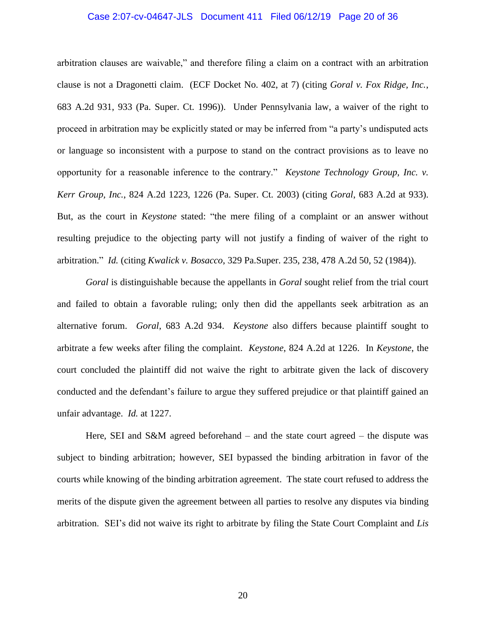# Case 2:07-cv-04647-JLS Document 411 Filed 06/12/19 Page 20 of 36

arbitration clauses are waivable," and therefore filing a claim on a contract with an arbitration clause is not a Dragonetti claim. (ECF Docket No. 402, at 7) (citing *Goral v. Fox Ridge, Inc.*, 683 A.2d 931, 933 (Pa. Super. Ct. 1996)). Under Pennsylvania law, a waiver of the right to proceed in arbitration may be explicitly stated or may be inferred from "a party's undisputed acts or language so inconsistent with a purpose to stand on the contract provisions as to leave no opportunity for a reasonable inference to the contrary." *Keystone Technology Group, Inc. v. Kerr Group, Inc.*, 824 A.2d 1223, 1226 (Pa. Super. Ct. 2003) (citing *Goral*, 683 A.2d at 933). But, as the court in *Keystone* stated: "the mere filing of a complaint or an answer without resulting prejudice to the objecting party will not justify a finding of waiver of the right to arbitration." *Id.* (citing *Kwalick v. Bosacco*, 329 Pa.Super. 235, 238, 478 A.2d 50, 52 (1984)).

*Goral* is distinguishable because the appellants in *Goral* sought relief from the trial court and failed to obtain a favorable ruling; only then did the appellants seek arbitration as an alternative forum. *Goral*, 683 A.2d 934. *Keystone* also differs because plaintiff sought to arbitrate a few weeks after filing the complaint. *Keystone*, 824 A.2d at 1226. In *Keystone*, the court concluded the plaintiff did not waive the right to arbitrate given the lack of discovery conducted and the defendant's failure to argue they suffered prejudice or that plaintiff gained an unfair advantage. *Id.* at 1227.

Here, SEI and S&M agreed beforehand – and the state court agreed – the dispute was subject to binding arbitration; however, SEI bypassed the binding arbitration in favor of the courts while knowing of the binding arbitration agreement. The state court refused to address the merits of the dispute given the agreement between all parties to resolve any disputes via binding arbitration. SEI's did not waive its right to arbitrate by filing the State Court Complaint and *Lis*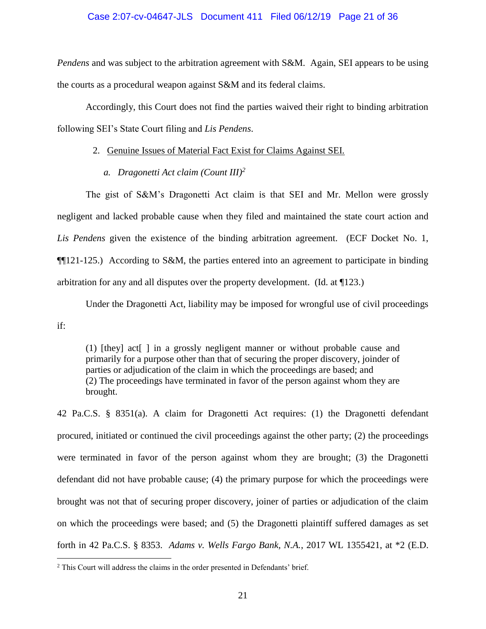## Case 2:07-cv-04647-JLS Document 411 Filed 06/12/19 Page 21 of 36

*Pendens* and was subject to the arbitration agreement with S&M. Again, SEI appears to be using the courts as a procedural weapon against S&M and its federal claims.

Accordingly, this Court does not find the parties waived their right to binding arbitration following SEI's State Court filing and *Lis Pendens*.

## 2. Genuine Issues of Material Fact Exist for Claims Against SEI.

*a. Dragonetti Act claim (Count III)<sup>2</sup>*

The gist of S&M's Dragonetti Act claim is that SEI and Mr. Mellon were grossly negligent and lacked probable cause when they filed and maintained the state court action and *Lis Pendens* given the existence of the binding arbitration agreement. (ECF Docket No. 1, ¶¶121-125.) According to S&M, the parties entered into an agreement to participate in binding arbitration for any and all disputes over the property development. (Id. at ¶123.)

Under the Dragonetti Act, liability may be imposed for wrongful use of civil proceedings

if:

 $\overline{a}$ 

(1) [they] act[ ] in a grossly negligent manner or without probable cause and primarily for a purpose other than that of securing the proper discovery, joinder of parties or adjudication of the claim in which the proceedings are based; and (2) The proceedings have terminated in favor of the person against whom they are brought.

42 Pa.C.S. § 8351(a). A claim for Dragonetti Act requires: (1) the Dragonetti defendant procured, initiated or continued the civil proceedings against the other party; (2) the proceedings were terminated in favor of the person against whom they are brought; (3) the Dragonetti defendant did not have probable cause; (4) the primary purpose for which the proceedings were brought was not that of securing proper discovery, joiner of parties or adjudication of the claim on which the proceedings were based; and (5) the Dragonetti plaintiff suffered damages as set forth in 42 Pa.C.S. § 8353. *Adams v. Wells Fargo Bank, N.A.*, 2017 WL 1355421, at \*2 (E.D.

<sup>2</sup> This Court will address the claims in the order presented in Defendants' brief.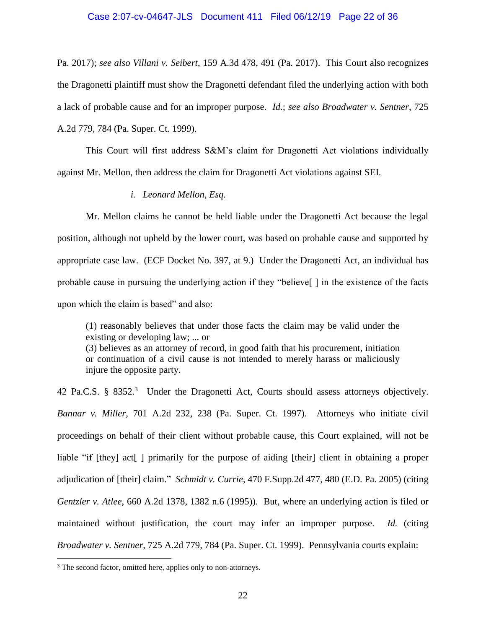#### Case 2:07-cv-04647-JLS Document 411 Filed 06/12/19 Page 22 of 36

Pa. 2017); *see also Villani v. Seibert*, 159 A.3d 478, 491 (Pa. 2017). This Court also recognizes the Dragonetti plaintiff must show the Dragonetti defendant filed the underlying action with both a lack of probable cause and for an improper purpose. *Id.*; *see also Broadwater v. Sentner*, 725 A.2d 779, 784 (Pa. Super. Ct. 1999).

This Court will first address S&M's claim for Dragonetti Act violations individually against Mr. Mellon, then address the claim for Dragonetti Act violations against SEI.

#### *i. Leonard Mellon, Esq.*

Mr. Mellon claims he cannot be held liable under the Dragonetti Act because the legal position, although not upheld by the lower court, was based on probable cause and supported by appropriate case law. (ECF Docket No. 397, at 9.) Under the Dragonetti Act, an individual has probable cause in pursuing the underlying action if they "believe[ ] in the existence of the facts upon which the claim is based" and also:

(1) reasonably believes that under those facts the claim may be valid under the existing or developing law; ... or

(3) believes as an attorney of record, in good faith that his procurement, initiation or continuation of a civil cause is not intended to merely harass or maliciously injure the opposite party.

42 Pa.C.S. § 8352. 3 Under the Dragonetti Act, Courts should assess attorneys objectively. *Bannar v. Miller*, 701 A.2d 232, 238 (Pa. Super. Ct. 1997). Attorneys who initiate civil proceedings on behalf of their client without probable cause, this Court explained, will not be liable "if [they] act[ ] primarily for the purpose of aiding [their] client in obtaining a proper adjudication of [their] claim." *Schmidt v. Currie*, 470 F.Supp.2d 477, 480 (E.D. Pa. 2005) (citing *Gentzler v. Atlee*, 660 A.2d 1378, 1382 n.6 (1995)). But, where an underlying action is filed or maintained without justification, the court may infer an improper purpose. *Id.* (citing *Broadwater v. Sentner*, 725 A.2d 779, 784 (Pa. Super. Ct. 1999). Pennsylvania courts explain:

 $\overline{a}$ 

<sup>&</sup>lt;sup>3</sup> The second factor, omitted here, applies only to non-attorneys.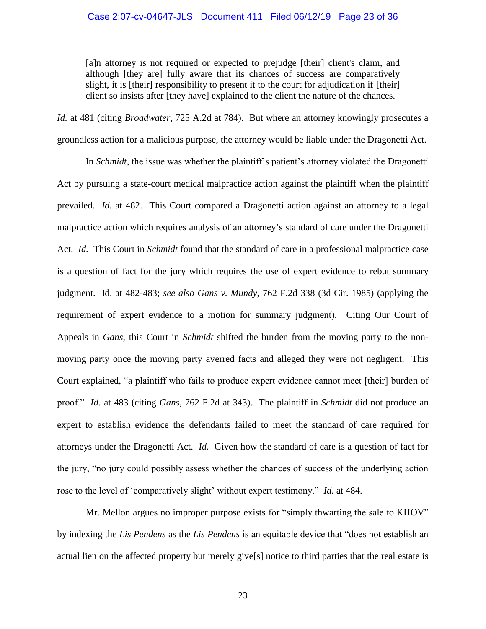[a]n attorney is not required or expected to prejudge [their] client's claim, and although [they are] fully aware that its chances of success are comparatively slight, it is [their] responsibility to present it to the court for adjudication if [their] client so insists after [they have] explained to the client the nature of the chances.

*Id.* at 481 (citing *Broadwater*, 725 A.2d at 784). But where an attorney knowingly prosecutes a groundless action for a malicious purpose, the attorney would be liable under the Dragonetti Act.

In *Schmidt*, the issue was whether the plaintiff's patient's attorney violated the Dragonetti Act by pursuing a state-court medical malpractice action against the plaintiff when the plaintiff prevailed. *Id.* at 482. This Court compared a Dragonetti action against an attorney to a legal malpractice action which requires analysis of an attorney's standard of care under the Dragonetti Act. *Id.* This Court in *Schmidt* found that the standard of care in a professional malpractice case is a question of fact for the jury which requires the use of expert evidence to rebut summary judgment. Id. at 482-483; *see also Gans v. Mundy*, 762 F.2d 338 (3d Cir. 1985) (applying the requirement of expert evidence to a motion for summary judgment). Citing Our Court of Appeals in *Gans*, this Court in *Schmidt* shifted the burden from the moving party to the nonmoving party once the moving party averred facts and alleged they were not negligent. This Court explained, "a plaintiff who fails to produce expert evidence cannot meet [their] burden of proof." *Id.* at 483 (citing *Gans*, 762 F.2d at 343). The plaintiff in *Schmidt* did not produce an expert to establish evidence the defendants failed to meet the standard of care required for attorneys under the Dragonetti Act. *Id.* Given how the standard of care is a question of fact for the jury, "no jury could possibly assess whether the chances of success of the underlying action rose to the level of 'comparatively slight' without expert testimony." *Id.* at 484.

Mr. Mellon argues no improper purpose exists for "simply thwarting the sale to KHOV" by indexing the *Lis Pendens* as the *Lis Pendens* is an equitable device that "does not establish an actual lien on the affected property but merely give[s] notice to third parties that the real estate is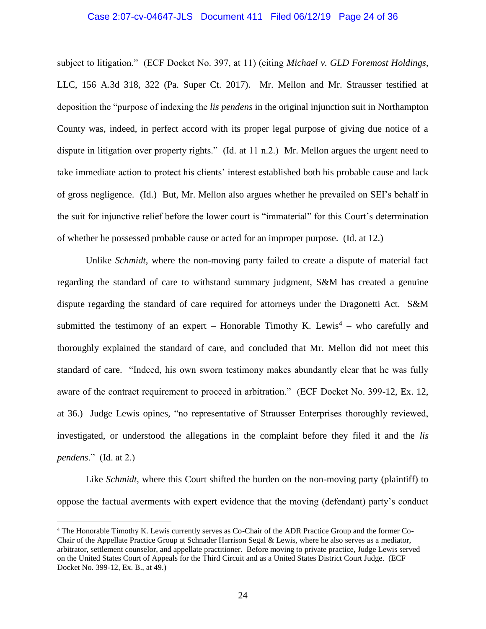#### Case 2:07-cv-04647-JLS Document 411 Filed 06/12/19 Page 24 of 36

subject to litigation." (ECF Docket No. 397, at 11) (citing *Michael v. GLD Foremost Holdings*, LLC, 156 A.3d 318, 322 (Pa. Super Ct. 2017). Mr. Mellon and Mr. Strausser testified at deposition the "purpose of indexing the *lis pendens* in the original injunction suit in Northampton County was, indeed, in perfect accord with its proper legal purpose of giving due notice of a dispute in litigation over property rights." (Id. at 11 n.2.) Mr. Mellon argues the urgent need to take immediate action to protect his clients' interest established both his probable cause and lack of gross negligence. (Id.) But, Mr. Mellon also argues whether he prevailed on SEI's behalf in the suit for injunctive relief before the lower court is "immaterial" for this Court's determination of whether he possessed probable cause or acted for an improper purpose. (Id. at 12.)

Unlike *Schmidt*, where the non-moving party failed to create a dispute of material fact regarding the standard of care to withstand summary judgment, S&M has created a genuine dispute regarding the standard of care required for attorneys under the Dragonetti Act. S&M submitted the testimony of an expert – Honorable Timothy K. Lewis<sup>4</sup> – who carefully and thoroughly explained the standard of care, and concluded that Mr. Mellon did not meet this standard of care. "Indeed, his own sworn testimony makes abundantly clear that he was fully aware of the contract requirement to proceed in arbitration." (ECF Docket No. 399-12, Ex. 12, at 36.) Judge Lewis opines, "no representative of Strausser Enterprises thoroughly reviewed, investigated, or understood the allegations in the complaint before they filed it and the *lis pendens*." (Id. at 2.)

Like *Schmidt*, where this Court shifted the burden on the non-moving party (plaintiff) to oppose the factual averments with expert evidence that the moving (defendant) party's conduct

 $\overline{a}$ 

<sup>4</sup> The Honorable Timothy K. Lewis currently serves as Co-Chair of the ADR Practice Group and the former Co-Chair of the Appellate Practice Group at Schnader Harrison Segal & Lewis, where he also serves as a mediator, arbitrator, settlement counselor, and appellate practitioner. Before moving to private practice, Judge Lewis served on the United States Court of Appeals for the Third Circuit and as a United States District Court Judge. (ECF Docket No. 399-12, Ex. B., at 49.)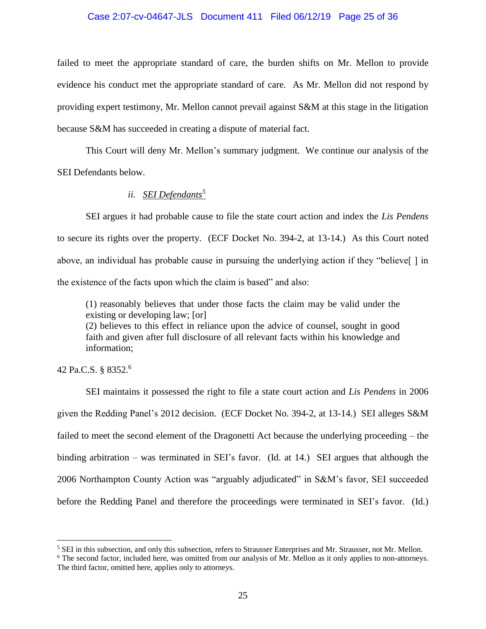# Case 2:07-cv-04647-JLS Document 411 Filed 06/12/19 Page 25 of 36

failed to meet the appropriate standard of care, the burden shifts on Mr. Mellon to provide evidence his conduct met the appropriate standard of care. As Mr. Mellon did not respond by providing expert testimony, Mr. Mellon cannot prevail against S&M at this stage in the litigation because S&M has succeeded in creating a dispute of material fact.

This Court will deny Mr. Mellon's summary judgment. We continue our analysis of the SEI Defendants below.

# *ii. SEI Defendants<sup>5</sup>*

SEI argues it had probable cause to file the state court action and index the *Lis Pendens* to secure its rights over the property. (ECF Docket No. 394-2, at 13-14.) As this Court noted above, an individual has probable cause in pursuing the underlying action if they "believe[ ] in the existence of the facts upon which the claim is based" and also:

(1) reasonably believes that under those facts the claim may be valid under the existing or developing law; [or]

(2) believes to this effect in reliance upon the advice of counsel, sought in good faith and given after full disclosure of all relevant facts within his knowledge and information;

42 Pa.C.S. § 8352. 6

 $\overline{a}$ 

SEI maintains it possessed the right to file a state court action and *Lis Pendens* in 2006 given the Redding Panel's 2012 decision. (ECF Docket No. 394-2, at 13-14.) SEI alleges S&M failed to meet the second element of the Dragonetti Act because the underlying proceeding – the binding arbitration – was terminated in SEI's favor. (Id. at 14.) SEI argues that although the 2006 Northampton County Action was "arguably adjudicated" in S&M's favor, SEI succeeded before the Redding Panel and therefore the proceedings were terminated in SEI's favor. (Id.)

<sup>5</sup> SEI in this subsection, and only this subsection, refers to Strausser Enterprises and Mr. Strausser, not Mr. Mellon.

<sup>&</sup>lt;sup>6</sup> The second factor, included here, was omitted from our analysis of Mr. Mellon as it only applies to non-attorneys. The third factor, omitted here, applies only to attorneys.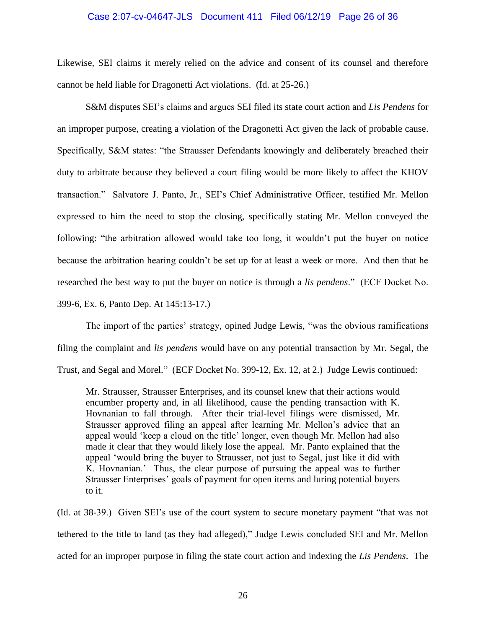#### Case 2:07-cv-04647-JLS Document 411 Filed 06/12/19 Page 26 of 36

Likewise, SEI claims it merely relied on the advice and consent of its counsel and therefore cannot be held liable for Dragonetti Act violations. (Id. at 25-26.)

S&M disputes SEI's claims and argues SEI filed its state court action and *Lis Pendens* for an improper purpose, creating a violation of the Dragonetti Act given the lack of probable cause. Specifically, S&M states: "the Strausser Defendants knowingly and deliberately breached their duty to arbitrate because they believed a court filing would be more likely to affect the KHOV transaction." Salvatore J. Panto, Jr., SEI's Chief Administrative Officer, testified Mr. Mellon expressed to him the need to stop the closing, specifically stating Mr. Mellon conveyed the following: "the arbitration allowed would take too long, it wouldn't put the buyer on notice because the arbitration hearing couldn't be set up for at least a week or more. And then that he researched the best way to put the buyer on notice is through a *lis pendens*." (ECF Docket No. 399-6, Ex. 6, Panto Dep. At 145:13-17.)

The import of the parties' strategy, opined Judge Lewis, "was the obvious ramifications filing the complaint and *lis pendens* would have on any potential transaction by Mr. Segal, the Trust, and Segal and Morel." (ECF Docket No. 399-12, Ex. 12, at 2.) Judge Lewis continued:

Mr. Strausser, Strausser Enterprises, and its counsel knew that their actions would encumber property and, in all likelihood, cause the pending transaction with K. Hovnanian to fall through. After their trial-level filings were dismissed, Mr. Strausser approved filing an appeal after learning Mr. Mellon's advice that an appeal would 'keep a cloud on the title' longer, even though Mr. Mellon had also made it clear that they would likely lose the appeal. Mr. Panto explained that the appeal 'would bring the buyer to Strausser, not just to Segal, just like it did with K. Hovnanian.' Thus, the clear purpose of pursuing the appeal was to further Strausser Enterprises' goals of payment for open items and luring potential buyers to it.

(Id. at 38-39.) Given SEI's use of the court system to secure monetary payment "that was not tethered to the title to land (as they had alleged)," Judge Lewis concluded SEI and Mr. Mellon acted for an improper purpose in filing the state court action and indexing the *Lis Pendens*. The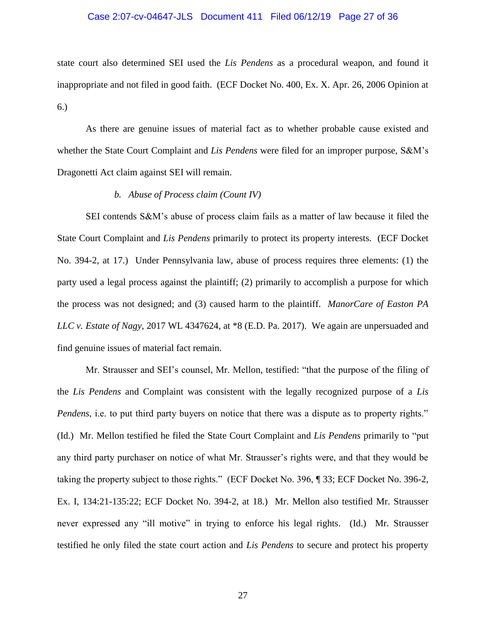# Case 2:07-cv-04647-JLS Document 411 Filed 06/12/19 Page 27 of 36

state court also determined SEI used the *Lis Pendens* as a procedural weapon, and found it inappropriate and not filed in good faith. (ECF Docket No. 400, Ex. X. Apr. 26, 2006 Opinion at 6.)

As there are genuine issues of material fact as to whether probable cause existed and whether the State Court Complaint and *Lis Pendens* were filed for an improper purpose, S&M's Dragonetti Act claim against SEI will remain.

## *b. Abuse of Process claim (Count IV)*

SEI contends S&M's abuse of process claim fails as a matter of law because it filed the State Court Complaint and *Lis Pendens* primarily to protect its property interests. (ECF Docket No. 394-2, at 17.) Under Pennsylvania law, abuse of process requires three elements: (1) the party used a legal process against the plaintiff; (2) primarily to accomplish a purpose for which the process was not designed; and (3) caused harm to the plaintiff. *ManorCare of Easton PA LLC v. Estate of Nagy*, 2017 WL 4347624, at \*8 (E.D. Pa. 2017). We again are unpersuaded and find genuine issues of material fact remain.

Mr. Strausser and SEI's counsel, Mr. Mellon, testified: "that the purpose of the filing of the *Lis Pendens* and Complaint was consistent with the legally recognized purpose of a *Lis Pendens*, i.e. to put third party buyers on notice that there was a dispute as to property rights." (Id.) Mr. Mellon testified he filed the State Court Complaint and *Lis Pendens* primarily to "put any third party purchaser on notice of what Mr. Strausser's rights were, and that they would be taking the property subject to those rights." (ECF Docket No. 396, ¶ 33; ECF Docket No. 396-2, Ex. I, 134:21-135:22; ECF Docket No. 394-2, at 18.) Mr. Mellon also testified Mr. Strausser never expressed any "ill motive" in trying to enforce his legal rights. (Id.) Mr. Strausser testified he only filed the state court action and *Lis Pendens* to secure and protect his property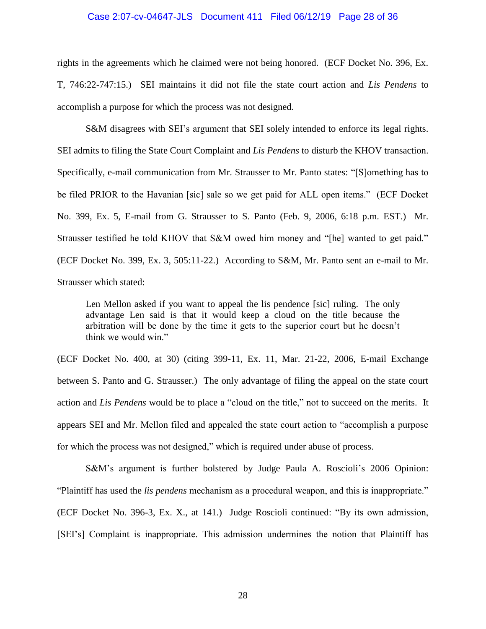#### Case 2:07-cv-04647-JLS Document 411 Filed 06/12/19 Page 28 of 36

rights in the agreements which he claimed were not being honored. (ECF Docket No. 396, Ex. T, 746:22-747:15.) SEI maintains it did not file the state court action and *Lis Pendens* to accomplish a purpose for which the process was not designed.

S&M disagrees with SEI's argument that SEI solely intended to enforce its legal rights. SEI admits to filing the State Court Complaint and *Lis Pendens* to disturb the KHOV transaction. Specifically, e-mail communication from Mr. Strausser to Mr. Panto states: "[S]omething has to be filed PRIOR to the Havanian [sic] sale so we get paid for ALL open items." (ECF Docket No. 399, Ex. 5, E-mail from G. Strausser to S. Panto (Feb. 9, 2006, 6:18 p.m. EST.) Mr. Strausser testified he told KHOV that S&M owed him money and "[he] wanted to get paid." (ECF Docket No. 399, Ex. 3, 505:11-22.) According to S&M, Mr. Panto sent an e-mail to Mr. Strausser which stated:

Len Mellon asked if you want to appeal the lis pendence [sic] ruling. The only advantage Len said is that it would keep a cloud on the title because the arbitration will be done by the time it gets to the superior court but he doesn't think we would win."

(ECF Docket No. 400, at 30) (citing 399-11, Ex. 11, Mar. 21-22, 2006, E-mail Exchange between S. Panto and G. Strausser.) The only advantage of filing the appeal on the state court action and *Lis Pendens* would be to place a "cloud on the title," not to succeed on the merits. It appears SEI and Mr. Mellon filed and appealed the state court action to "accomplish a purpose for which the process was not designed," which is required under abuse of process.

S&M's argument is further bolstered by Judge Paula A. Roscioli's 2006 Opinion: "Plaintiff has used the *lis pendens* mechanism as a procedural weapon, and this is inappropriate." (ECF Docket No. 396-3, Ex. X., at 141.) Judge Roscioli continued: "By its own admission, [SEI's] Complaint is inappropriate. This admission undermines the notion that Plaintiff has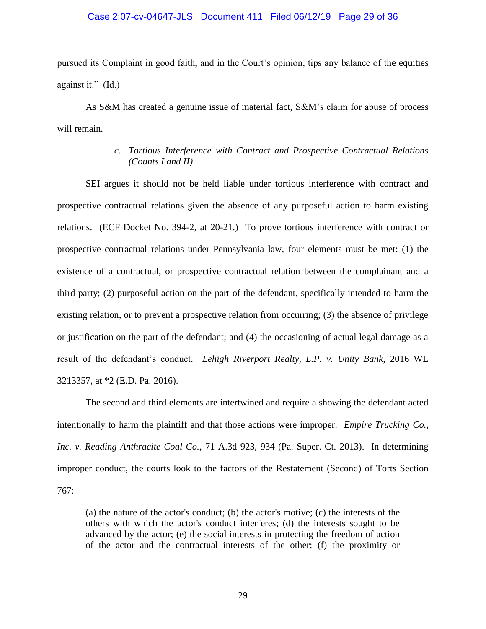#### Case 2:07-cv-04647-JLS Document 411 Filed 06/12/19 Page 29 of 36

pursued its Complaint in good faith, and in the Court's opinion, tips any balance of the equities against it." (Id.)

As S&M has created a genuine issue of material fact, S&M's claim for abuse of process will remain.

# *c. Tortious Interference with Contract and Prospective Contractual Relations (Counts I and II)*

SEI argues it should not be held liable under tortious interference with contract and prospective contractual relations given the absence of any purposeful action to harm existing relations. (ECF Docket No. 394-2, at 20-21.) To prove tortious interference with contract or prospective contractual relations under Pennsylvania law, four elements must be met: (1) the existence of a contractual, or prospective contractual relation between the complainant and a third party; (2) purposeful action on the part of the defendant, specifically intended to harm the existing relation, or to prevent a prospective relation from occurring; (3) the absence of privilege or justification on the part of the defendant; and (4) the occasioning of actual legal damage as a result of the defendant's conduct. *Lehigh Riverport Realty, L.P. v. Unity Bank*, 2016 WL 3213357, at \*2 (E.D. Pa. 2016).

The second and third elements are intertwined and require a showing the defendant acted intentionally to harm the plaintiff and that those actions were improper. *Empire Trucking Co., Inc. v. Reading Anthracite Coal Co.*, 71 A.3d 923, 934 (Pa. Super. Ct. 2013). In determining improper conduct, the courts look to the factors of the Restatement (Second) of Torts Section 767:

(a) the nature of the actor's conduct; (b) the actor's motive; (c) the interests of the others with which the actor's conduct interferes; (d) the interests sought to be advanced by the actor; (e) the social interests in protecting the freedom of action of the actor and the contractual interests of the other; (f) the proximity or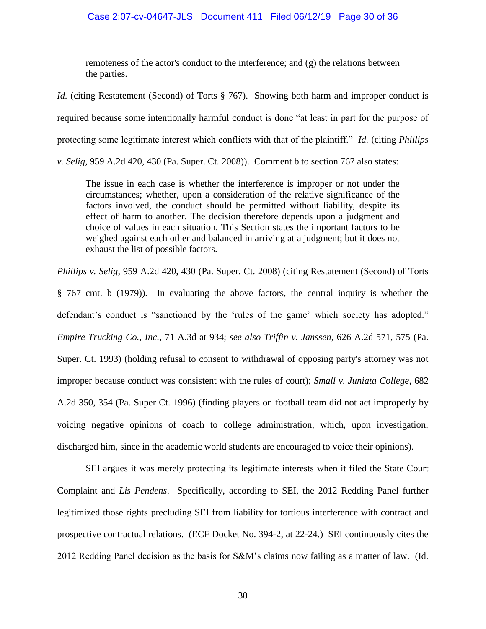remoteness of the actor's conduct to the interference; and (g) the relations between the parties.

*Id.* (citing Restatement (Second) of Torts § 767). Showing both harm and improper conduct is required because some intentionally harmful conduct is done "at least in part for the purpose of protecting some legitimate interest which conflicts with that of the plaintiff." *Id.* (citing *Phillips* 

*v. Selig*, 959 A.2d 420, 430 (Pa. Super. Ct. 2008)). Comment b to section 767 also states:

The issue in each case is whether the interference is improper or not under the circumstances; whether, upon a consideration of the relative significance of the factors involved, the conduct should be permitted without liability, despite its effect of harm to another. The decision therefore depends upon a judgment and choice of values in each situation. This Section states the important factors to be weighed against each other and balanced in arriving at a judgment; but it does not exhaust the list of possible factors.

*Phillips v. Selig*, 959 A.2d 420, 430 (Pa. Super. Ct. 2008) (citing Restatement (Second) of Torts § 767 cmt. b (1979)). In evaluating the above factors, the central inquiry is whether the defendant's conduct is "sanctioned by the 'rules of the game' which society has adopted." *Empire Trucking Co., Inc.*, 71 A.3d at 934; *see also Triffin v. Janssen*, 626 A.2d 571, 575 (Pa. Super. Ct. 1993) (holding refusal to consent to withdrawal of opposing party's attorney was not improper because conduct was consistent with the rules of court); *Small v. Juniata College*, 682 A.2d 350, 354 (Pa. Super Ct. 1996) (finding players on football team did not act improperly by voicing negative opinions of coach to college administration, which, upon investigation, discharged him, since in the academic world students are encouraged to voice their opinions).

SEI argues it was merely protecting its legitimate interests when it filed the State Court Complaint and *Lis Pendens*. Specifically, according to SEI, the 2012 Redding Panel further legitimized those rights precluding SEI from liability for tortious interference with contract and prospective contractual relations. (ECF Docket No. 394-2, at 22-24.) SEI continuously cites the 2012 Redding Panel decision as the basis for S&M's claims now failing as a matter of law. (Id.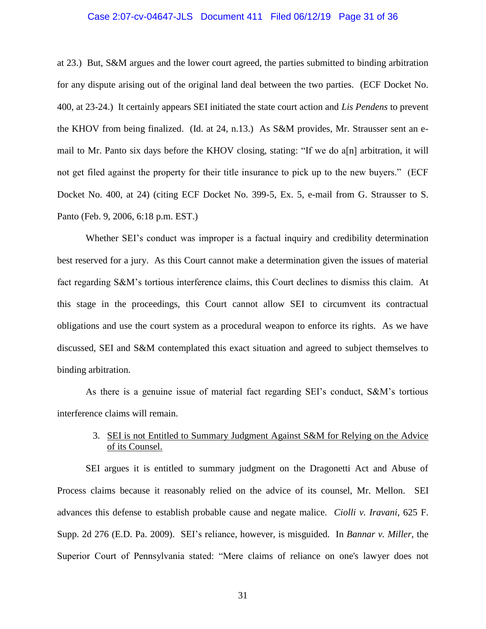# Case 2:07-cv-04647-JLS Document 411 Filed 06/12/19 Page 31 of 36

at 23.) But, S&M argues and the lower court agreed, the parties submitted to binding arbitration for any dispute arising out of the original land deal between the two parties. (ECF Docket No. 400, at 23-24.) It certainly appears SEI initiated the state court action and *Lis Pendens* to prevent the KHOV from being finalized. (Id. at 24, n.13.) As S&M provides, Mr. Strausser sent an email to Mr. Panto six days before the KHOV closing, stating: "If we do a[n] arbitration, it will not get filed against the property for their title insurance to pick up to the new buyers." (ECF Docket No. 400, at 24) (citing ECF Docket No. 399-5, Ex. 5, e-mail from G. Strausser to S. Panto (Feb. 9, 2006, 6:18 p.m. EST.)

Whether SEI's conduct was improper is a factual inquiry and credibility determination best reserved for a jury. As this Court cannot make a determination given the issues of material fact regarding S&M's tortious interference claims, this Court declines to dismiss this claim. At this stage in the proceedings, this Court cannot allow SEI to circumvent its contractual obligations and use the court system as a procedural weapon to enforce its rights. As we have discussed, SEI and S&M contemplated this exact situation and agreed to subject themselves to binding arbitration.

As there is a genuine issue of material fact regarding SEI's conduct, S&M's tortious interference claims will remain.

# 3. SEI is not Entitled to Summary Judgment Against S&M for Relying on the Advice of its Counsel.

SEI argues it is entitled to summary judgment on the Dragonetti Act and Abuse of Process claims because it reasonably relied on the advice of its counsel, Mr. Mellon. SEI advances this defense to establish probable cause and negate malice. *Ciolli v. Iravani*, 625 F. Supp. 2d 276 (E.D. Pa. 2009). SEI's reliance, however, is misguided. In *Bannar v. Miller*, the Superior Court of Pennsylvania stated: "Mere claims of reliance on one's lawyer does not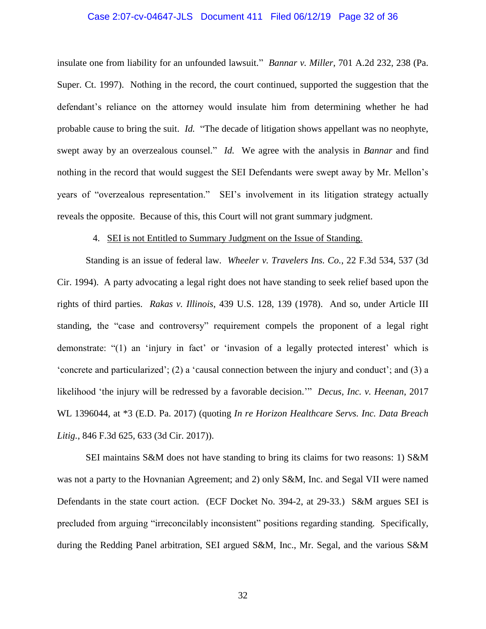#### Case 2:07-cv-04647-JLS Document 411 Filed 06/12/19 Page 32 of 36

insulate one from liability for an unfounded lawsuit." *Bannar v. Miller*, 701 A.2d 232, 238 (Pa. Super. Ct. 1997). Nothing in the record, the court continued, supported the suggestion that the defendant's reliance on the attorney would insulate him from determining whether he had probable cause to bring the suit. *Id.* "The decade of litigation shows appellant was no neophyte, swept away by an overzealous counsel." *Id.* We agree with the analysis in *Bannar* and find nothing in the record that would suggest the SEI Defendants were swept away by Mr. Mellon's years of "overzealous representation." SEI's involvement in its litigation strategy actually reveals the opposite. Because of this, this Court will not grant summary judgment.

## 4. SEI is not Entitled to Summary Judgment on the Issue of Standing.

Standing is an issue of federal law. *Wheeler v. Travelers Ins. Co.*, 22 F.3d 534, 537 (3d Cir. 1994). A party advocating a legal right does not have standing to seek relief based upon the rights of third parties. *Rakas v. Illinois*, 439 U.S. 128, 139 (1978). And so, under Article III standing, the "case and controversy" requirement compels the proponent of a legal right demonstrate: "(1) an 'injury in fact' or 'invasion of a legally protected interest' which is 'concrete and particularized'; (2) a 'causal connection between the injury and conduct'; and (3) a likelihood 'the injury will be redressed by a favorable decision.'" *Decus, Inc. v. Heenan*, 2017 WL 1396044, at \*3 (E.D. Pa. 2017) (quoting *In re Horizon Healthcare Servs. Inc. Data Breach Litig.*, 846 F.3d 625, 633 (3d Cir. 2017)).

SEI maintains S&M does not have standing to bring its claims for two reasons: 1) S&M was not a party to the Hovnanian Agreement; and 2) only S&M, Inc. and Segal VII were named Defendants in the state court action. (ECF Docket No. 394-2, at 29-33.) S&M argues SEI is precluded from arguing "irreconcilably inconsistent" positions regarding standing. Specifically, during the Redding Panel arbitration, SEI argued S&M, Inc., Mr. Segal, and the various S&M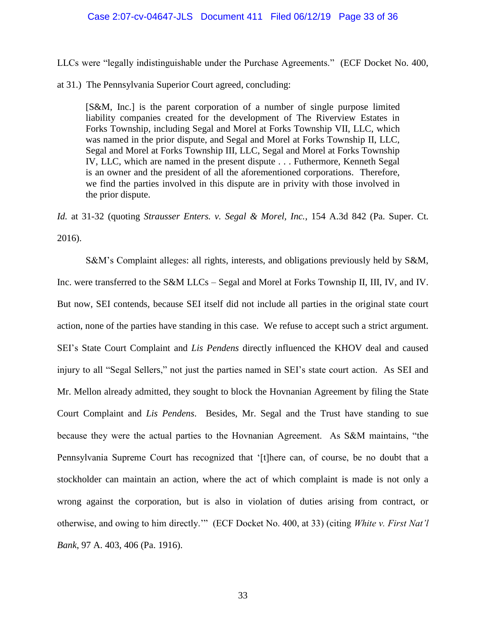#### Case 2:07-cv-04647-JLS Document 411 Filed 06/12/19 Page 33 of 36

LLCs were "legally indistinguishable under the Purchase Agreements." (ECF Docket No. 400,

at 31.) The Pennsylvania Superior Court agreed, concluding:

[S&M, Inc.] is the parent corporation of a number of single purpose limited liability companies created for the development of The Riverview Estates in Forks Township, including Segal and Morel at Forks Township VII, LLC, which was named in the prior dispute, and Segal and Morel at Forks Township II, LLC, Segal and Morel at Forks Township III, LLC, Segal and Morel at Forks Township IV, LLC, which are named in the present dispute . . . Futhermore, Kenneth Segal is an owner and the president of all the aforementioned corporations. Therefore, we find the parties involved in this dispute are in privity with those involved in the prior dispute.

*Id.* at 31-32 (quoting *Strausser Enters. v. Segal & Morel, Inc.*, 154 A.3d 842 (Pa. Super. Ct. 2016).

S&M's Complaint alleges: all rights, interests, and obligations previously held by S&M, Inc. were transferred to the S&M LLCs – Segal and Morel at Forks Township II, III, IV, and IV. But now, SEI contends, because SEI itself did not include all parties in the original state court action, none of the parties have standing in this case. We refuse to accept such a strict argument. SEI's State Court Complaint and *Lis Pendens* directly influenced the KHOV deal and caused injury to all "Segal Sellers," not just the parties named in SEI's state court action. As SEI and Mr. Mellon already admitted, they sought to block the Hovnanian Agreement by filing the State Court Complaint and *Lis Pendens*. Besides, Mr. Segal and the Trust have standing to sue because they were the actual parties to the Hovnanian Agreement. As S&M maintains, "the Pennsylvania Supreme Court has recognized that '[t]here can, of course, be no doubt that a stockholder can maintain an action, where the act of which complaint is made is not only a wrong against the corporation, but is also in violation of duties arising from contract, or otherwise, and owing to him directly.'" (ECF Docket No. 400, at 33) (citing *White v. First Nat'l Bank*, 97 A. 403, 406 (Pa. 1916).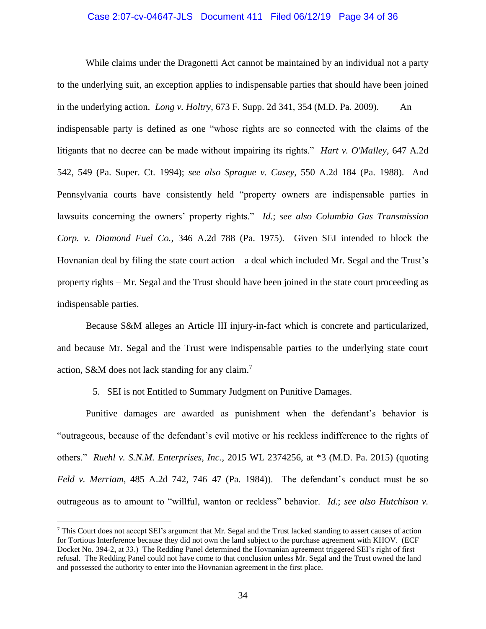# Case 2:07-cv-04647-JLS Document 411 Filed 06/12/19 Page 34 of 36

While claims under the Dragonetti Act cannot be maintained by an individual not a party to the underlying suit, an exception applies to indispensable parties that should have been joined in the underlying action. *Long v. Holtry*, 673 F. Supp. 2d 341, 354 (M.D. Pa. 2009). An indispensable party is defined as one "whose rights are so connected with the claims of the litigants that no decree can be made without impairing its rights." *Hart v. O'Malley*, 647 A.2d 542, 549 (Pa. Super. Ct. 1994); *see also Sprague v. Casey*, 550 A.2d 184 (Pa. 1988). And Pennsylvania courts have consistently held "property owners are indispensable parties in lawsuits concerning the owners' property rights." *Id.*; *see also Columbia Gas Transmission Corp. v. Diamond Fuel Co.*, 346 A.2d 788 (Pa. 1975). Given SEI intended to block the Hovnanian deal by filing the state court action – a deal which included Mr. Segal and the Trust's property rights – Mr. Segal and the Trust should have been joined in the state court proceeding as indispensable parties.

Because S&M alleges an Article III injury-in-fact which is concrete and particularized, and because Mr. Segal and the Trust were indispensable parties to the underlying state court action, S&M does not lack standing for any claim.<sup>7</sup>

## 5. SEI is not Entitled to Summary Judgment on Punitive Damages.

Punitive damages are awarded as punishment when the defendant's behavior is "outrageous, because of the defendant's evil motive or his reckless indifference to the rights of others." *Ruehl v. S.N.M. Enterprises, Inc.*, 2015 WL 2374256, at \*3 (M.D. Pa. 2015) (quoting *Feld v. Merriam*, 485 A.2d 742, 746–47 (Pa. 1984)). The defendant's conduct must be so outrageous as to amount to "willful, wanton or reckless" behavior. *Id.*; *see also Hutchison v.* 

 $\overline{a}$ 

<sup>7</sup> This Court does not accept SEI's argument that Mr. Segal and the Trust lacked standing to assert causes of action for Tortious Interference because they did not own the land subject to the purchase agreement with KHOV. (ECF Docket No. 394-2, at 33.) The Redding Panel determined the Hovnanian agreement triggered SEI's right of first refusal. The Redding Panel could not have come to that conclusion unless Mr. Segal and the Trust owned the land and possessed the authority to enter into the Hovnanian agreement in the first place.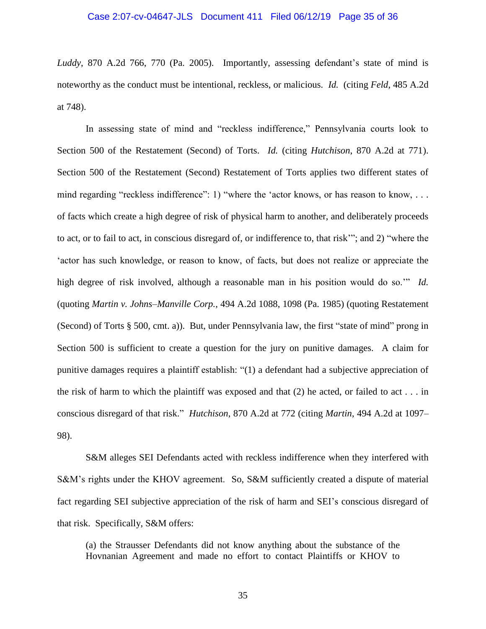*Luddy*, 870 A.2d 766, 770 (Pa. 2005). Importantly, assessing defendant's state of mind is noteworthy as the conduct must be intentional, reckless, or malicious. *Id.* (citing *Feld*, 485 A.2d at 748).

In assessing state of mind and "reckless indifference," Pennsylvania courts look to Section 500 of the Restatement (Second) of Torts. *Id.* (citing *Hutchison*, 870 A.2d at 771). Section 500 of the Restatement (Second) Restatement of Torts applies two different states of mind regarding "reckless indifference": 1) "where the 'actor knows, or has reason to know, ... of facts which create a high degree of risk of physical harm to another, and deliberately proceeds to act, or to fail to act, in conscious disregard of, or indifference to, that risk'"; and 2) "where the 'actor has such knowledge, or reason to know, of facts, but does not realize or appreciate the high degree of risk involved, although a reasonable man in his position would do so.'" *Id.* (quoting *Martin v. Johns–Manville Corp.*, 494 A.2d 1088, 1098 (Pa. 1985) (quoting Restatement (Second) of Torts § 500, cmt. a)). But, under Pennsylvania law, the first "state of mind" prong in Section 500 is sufficient to create a question for the jury on punitive damages. A claim for punitive damages requires a plaintiff establish: "(1) a defendant had a subjective appreciation of the risk of harm to which the plaintiff was exposed and that  $(2)$  he acted, or failed to act . . . in conscious disregard of that risk." *Hutchison*, 870 A.2d at 772 (citing *Martin*, 494 A.2d at 1097– 98).

S&M alleges SEI Defendants acted with reckless indifference when they interfered with S&M's rights under the KHOV agreement. So, S&M sufficiently created a dispute of material fact regarding SEI subjective appreciation of the risk of harm and SEI's conscious disregard of that risk. Specifically, S&M offers:

(a) the Strausser Defendants did not know anything about the substance of the Hovnanian Agreement and made no effort to contact Plaintiffs or KHOV to